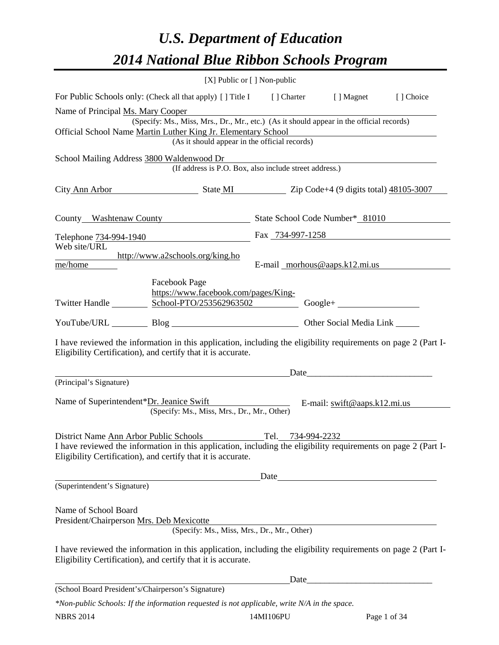# *U.S. Department of Education 2014 National Blue Ribbon Schools Program*

|                                                                                                                                                                                |                                                        | [X] Public or [] Non-public                                                                                          |                                                                           |           |  |  |  |  |
|--------------------------------------------------------------------------------------------------------------------------------------------------------------------------------|--------------------------------------------------------|----------------------------------------------------------------------------------------------------------------------|---------------------------------------------------------------------------|-----------|--|--|--|--|
| For Public Schools only: (Check all that apply) [] Title I [] Charter [] Magnet                                                                                                |                                                        |                                                                                                                      |                                                                           | [] Choice |  |  |  |  |
|                                                                                                                                                                                | Name of Principal Ms. Mary Cooper                      |                                                                                                                      |                                                                           |           |  |  |  |  |
| (Specify: Ms., Miss, Mrs., Dr., Mr., etc.) (As it should appear in the official records)                                                                                       |                                                        |                                                                                                                      |                                                                           |           |  |  |  |  |
| Official School Name Martin Luther King Jr. Elementary School                                                                                                                  |                                                        |                                                                                                                      |                                                                           |           |  |  |  |  |
| (As it should appear in the official records)                                                                                                                                  |                                                        |                                                                                                                      |                                                                           |           |  |  |  |  |
| School Mailing Address 3800 Waldenwood Dr                                                                                                                                      | (If address is P.O. Box, also include street address.) | <u> 1989 - Jan Sterlinger, skriuwer fan it ferstjer fan it ferstjer fan it ferstjer fan it ferstjer fan it ferst</u> |                                                                           |           |  |  |  |  |
|                                                                                                                                                                                |                                                        |                                                                                                                      |                                                                           |           |  |  |  |  |
| City Ann Arbor State MI State MI Zip Code+4 (9 digits total) 48105-3007                                                                                                        |                                                        |                                                                                                                      |                                                                           |           |  |  |  |  |
|                                                                                                                                                                                |                                                        |                                                                                                                      |                                                                           |           |  |  |  |  |
|                                                                                                                                                                                |                                                        |                                                                                                                      |                                                                           |           |  |  |  |  |
|                                                                                                                                                                                |                                                        | Fax 734-997-1258                                                                                                     |                                                                           |           |  |  |  |  |
| Telephone 734-994-1940<br>Web site/URL                                                                                                                                         |                                                        |                                                                                                                      |                                                                           |           |  |  |  |  |
|                                                                                                                                                                                | http://www.a2schools.org/king.ho                       |                                                                                                                      |                                                                           |           |  |  |  |  |
| me/home                                                                                                                                                                        |                                                        | E-mail morhous@aaps.k12.mi.us                                                                                        |                                                                           |           |  |  |  |  |
|                                                                                                                                                                                | <b>Facebook Page</b>                                   |                                                                                                                      |                                                                           |           |  |  |  |  |
|                                                                                                                                                                                | https://www.facebook.com/pages/King-                   |                                                                                                                      |                                                                           |           |  |  |  |  |
|                                                                                                                                                                                |                                                        |                                                                                                                      |                                                                           |           |  |  |  |  |
| YouTube/URL Blog Blog Discount Cher Social Media Link                                                                                                                          |                                                        |                                                                                                                      |                                                                           |           |  |  |  |  |
| I have reviewed the information in this application, including the eligibility requirements on page 2 (Part I-<br>Eligibility Certification), and certify that it is accurate. |                                                        |                                                                                                                      |                                                                           |           |  |  |  |  |
|                                                                                                                                                                                |                                                        |                                                                                                                      |                                                                           |           |  |  |  |  |
| (Principal's Signature)                                                                                                                                                        |                                                        |                                                                                                                      |                                                                           |           |  |  |  |  |
| Name of Superintendent*Dr. Jeanice Swift                                                                                                                                       | (Specify: Ms., Miss, Mrs., Dr., Mr., Other)            |                                                                                                                      | E-mail: $\frac{\text{swift@aaps.k12.mi.us}}{\text{swift@aaps.k12.mi.us}}$ |           |  |  |  |  |
|                                                                                                                                                                                |                                                        |                                                                                                                      |                                                                           |           |  |  |  |  |
| District Name Ann Arbor Public Schools Tel. 734-994-2232                                                                                                                       |                                                        |                                                                                                                      |                                                                           |           |  |  |  |  |
| I have reviewed the information in this application, including the eligibility requirements on page 2 (Part I-<br>Eligibility Certification), and certify that it is accurate. |                                                        |                                                                                                                      |                                                                           |           |  |  |  |  |
|                                                                                                                                                                                |                                                        |                                                                                                                      |                                                                           |           |  |  |  |  |
| (Superintendent's Signature)                                                                                                                                                   |                                                        |                                                                                                                      |                                                                           |           |  |  |  |  |
|                                                                                                                                                                                |                                                        |                                                                                                                      |                                                                           |           |  |  |  |  |
| Name of School Board<br>President/Chairperson Mrs. Deb Mexicotte                                                                                                               |                                                        | <u> 1980 - Johann Barn, fransk politik fotograf (d. 1980)</u>                                                        |                                                                           |           |  |  |  |  |
|                                                                                                                                                                                | (Specify: Ms., Miss, Mrs., Dr., Mr., Other)            |                                                                                                                      |                                                                           |           |  |  |  |  |
| I have reviewed the information in this application, including the eligibility requirements on page 2 (Part I-<br>Eligibility Certification), and certify that it is accurate. |                                                        |                                                                                                                      |                                                                           |           |  |  |  |  |
|                                                                                                                                                                                |                                                        |                                                                                                                      |                                                                           |           |  |  |  |  |
| (School Board President's/Chairperson's Signature)                                                                                                                             |                                                        |                                                                                                                      |                                                                           |           |  |  |  |  |
| *Non-public Schools: If the information requested is not applicable, write N/A in the space.                                                                                   |                                                        |                                                                                                                      |                                                                           |           |  |  |  |  |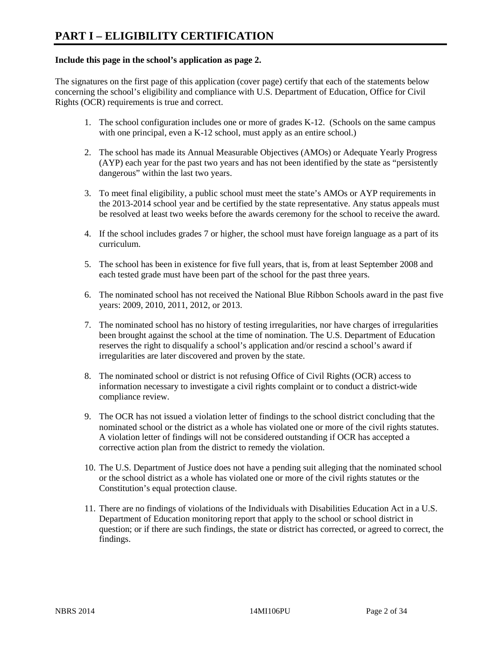#### **Include this page in the school's application as page 2.**

The signatures on the first page of this application (cover page) certify that each of the statements below concerning the school's eligibility and compliance with U.S. Department of Education, Office for Civil Rights (OCR) requirements is true and correct.

- 1. The school configuration includes one or more of grades K-12. (Schools on the same campus with one principal, even a K-12 school, must apply as an entire school.)
- 2. The school has made its Annual Measurable Objectives (AMOs) or Adequate Yearly Progress (AYP) each year for the past two years and has not been identified by the state as "persistently dangerous" within the last two years.
- 3. To meet final eligibility, a public school must meet the state's AMOs or AYP requirements in the 2013-2014 school year and be certified by the state representative. Any status appeals must be resolved at least two weeks before the awards ceremony for the school to receive the award.
- 4. If the school includes grades 7 or higher, the school must have foreign language as a part of its curriculum.
- 5. The school has been in existence for five full years, that is, from at least September 2008 and each tested grade must have been part of the school for the past three years.
- 6. The nominated school has not received the National Blue Ribbon Schools award in the past five years: 2009, 2010, 2011, 2012, or 2013.
- 7. The nominated school has no history of testing irregularities, nor have charges of irregularities been brought against the school at the time of nomination. The U.S. Department of Education reserves the right to disqualify a school's application and/or rescind a school's award if irregularities are later discovered and proven by the state.
- 8. The nominated school or district is not refusing Office of Civil Rights (OCR) access to information necessary to investigate a civil rights complaint or to conduct a district-wide compliance review.
- 9. The OCR has not issued a violation letter of findings to the school district concluding that the nominated school or the district as a whole has violated one or more of the civil rights statutes. A violation letter of findings will not be considered outstanding if OCR has accepted a corrective action plan from the district to remedy the violation.
- 10. The U.S. Department of Justice does not have a pending suit alleging that the nominated school or the school district as a whole has violated one or more of the civil rights statutes or the Constitution's equal protection clause.
- 11. There are no findings of violations of the Individuals with Disabilities Education Act in a U.S. Department of Education monitoring report that apply to the school or school district in question; or if there are such findings, the state or district has corrected, or agreed to correct, the findings.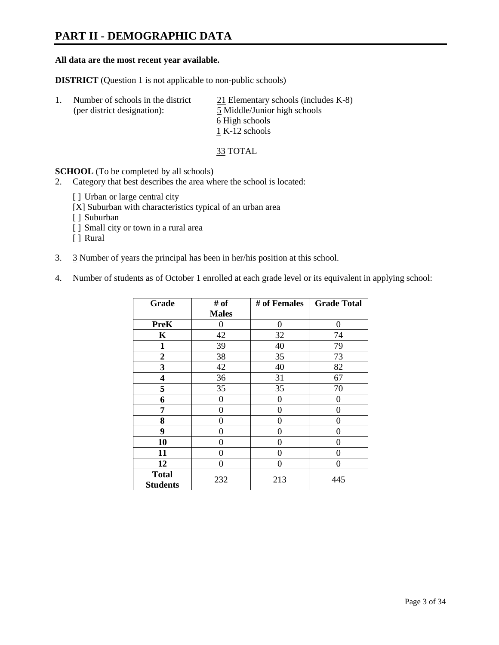# **PART II - DEMOGRAPHIC DATA**

#### **All data are the most recent year available.**

**DISTRICT** (Question 1 is not applicable to non-public schools)

| Number of schools in the district<br>(per district designation): | $21$ Elementary schools (includes K-8)<br>5 Middle/Junior high schools<br>6 High schools |
|------------------------------------------------------------------|------------------------------------------------------------------------------------------|
|                                                                  | 1 K-12 schools                                                                           |

33 TOTAL

**SCHOOL** (To be completed by all schools)

- 2. Category that best describes the area where the school is located:
	- [ ] Urban or large central city
	- [X] Suburban with characteristics typical of an urban area
	- [ ] Suburban
	- [ ] Small city or town in a rural area
	- [ ] Rural
- 3. 3 Number of years the principal has been in her/his position at this school.
- 4. Number of students as of October 1 enrolled at each grade level or its equivalent in applying school:

| Grade                           | # of         | # of Females | <b>Grade Total</b> |
|---------------------------------|--------------|--------------|--------------------|
|                                 | <b>Males</b> |              |                    |
| <b>PreK</b>                     | 0            | $\theta$     | 0                  |
| K                               | 42           | 32           | 74                 |
| $\mathbf{1}$                    | 39           | 40           | 79                 |
| $\mathbf{2}$                    | 38           | 35           | 73                 |
| 3                               | 42           | 40           | 82                 |
| 4                               | 36           | 31           | 67                 |
| 5                               | 35           | 35           | 70                 |
| 6                               | 0            | 0            | $\theta$           |
| 7                               | 0            | $\theta$     | 0                  |
| 8                               | 0            | 0            | 0                  |
| 9                               | 0            | 0            | 0                  |
| 10                              | 0            | $\Omega$     | 0                  |
| 11                              | 0            | 0            | 0                  |
| 12                              | 0            | 0            | 0                  |
| <b>Total</b><br><b>Students</b> | 232          | 213          | 445                |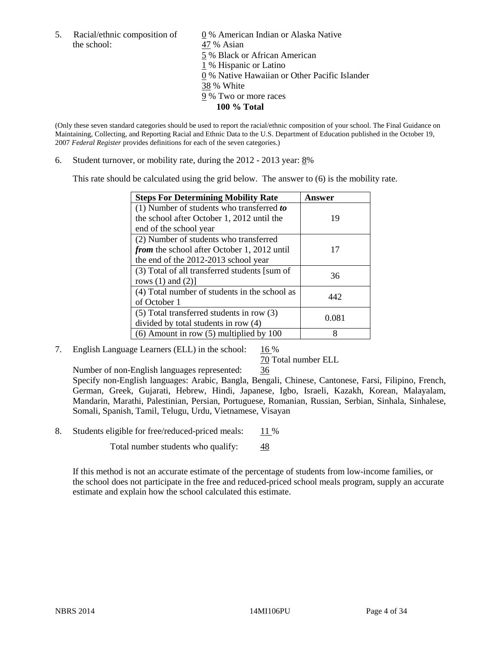the school: 47 % Asian

5. Racial/ethnic composition of 0 % American Indian or Alaska Native 5 % Black or African American 1 % Hispanic or Latino 0 % Native Hawaiian or Other Pacific Islander 38 % White 9 % Two or more races **100 % Total** 

(Only these seven standard categories should be used to report the racial/ethnic composition of your school. The Final Guidance on Maintaining, Collecting, and Reporting Racial and Ethnic Data to the U.S. Department of Education published in the October 19, 2007 *Federal Register* provides definitions for each of the seven categories.)

6. Student turnover, or mobility rate, during the  $2012 - 2013$  year:  $8\%$ 

This rate should be calculated using the grid below. The answer to (6) is the mobility rate.

| <b>Steps For Determining Mobility Rate</b>         | Answer |
|----------------------------------------------------|--------|
| (1) Number of students who transferred to          |        |
| the school after October 1, 2012 until the         | 19     |
| end of the school year                             |        |
| (2) Number of students who transferred             |        |
| <i>from</i> the school after October 1, 2012 until | 17     |
| the end of the 2012-2013 school year               |        |
| (3) Total of all transferred students [sum of      | 36     |
| rows $(1)$ and $(2)$ ]                             |        |
| (4) Total number of students in the school as      | 442    |
| of October 1                                       |        |
| $(5)$ Total transferred students in row $(3)$      | 0.081  |
| divided by total students in row (4)               |        |
| $(6)$ Amount in row $(5)$ multiplied by 100        | 8      |

7. English Language Learners (ELL) in the school:  $16\%$ 

#### 70 Total number ELL

Number of non-English languages represented: 36

 Specify non-English languages: Arabic, Bangla, Bengali, Chinese, Cantonese, Farsi, Filipino, French, German, Greek, Gujarati, Hebrew, Hindi, Japanese, Igbo, Israeli, Kazakh, Korean, Malayalam, Mandarin, Marathi, Palestinian, Persian, Portuguese, Romanian, Russian, Serbian, Sinhala, Sinhalese, Somali, Spanish, Tamil, Telugu, Urdu, Vietnamese, Visayan

8. Students eligible for free/reduced-priced meals: 11 %

Total number students who qualify:  $\frac{48}{5}$ 

If this method is not an accurate estimate of the percentage of students from low-income families, or the school does not participate in the free and reduced-priced school meals program, supply an accurate estimate and explain how the school calculated this estimate.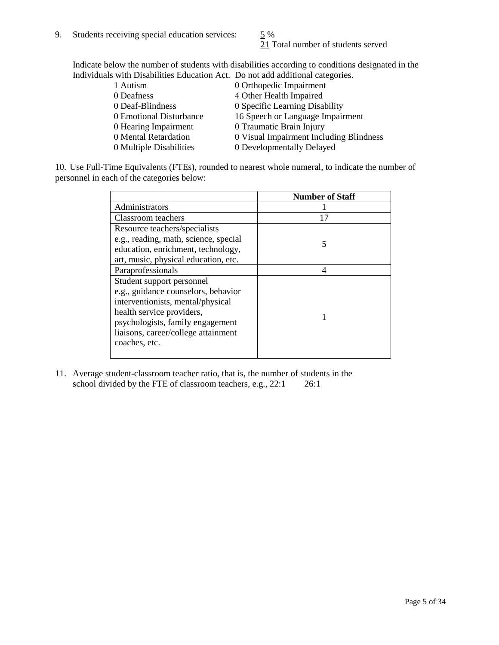21 Total number of students served

Indicate below the number of students with disabilities according to conditions designated in the Individuals with Disabilities Education Act. Do not add additional categories.

| 1 Autism                | 0 Orthopedic Impairment                 |
|-------------------------|-----------------------------------------|
| 0 Deafness              | 4 Other Health Impaired                 |
| 0 Deaf-Blindness        | 0 Specific Learning Disability          |
| 0 Emotional Disturbance | 16 Speech or Language Impairment        |
| 0 Hearing Impairment    | 0 Traumatic Brain Injury                |
| 0 Mental Retardation    | 0 Visual Impairment Including Blindness |
| 0 Multiple Disabilities | 0 Developmentally Delayed               |
|                         |                                         |

10. Use Full-Time Equivalents (FTEs), rounded to nearest whole numeral, to indicate the number of personnel in each of the categories below:

|                                       | <b>Number of Staff</b> |
|---------------------------------------|------------------------|
| Administrators                        |                        |
| Classroom teachers                    | 17                     |
| Resource teachers/specialists         |                        |
| e.g., reading, math, science, special | 5                      |
| education, enrichment, technology,    |                        |
| art, music, physical education, etc.  |                        |
| Paraprofessionals                     |                        |
| Student support personnel             |                        |
| e.g., guidance counselors, behavior   |                        |
| interventionists, mental/physical     |                        |
| health service providers,             |                        |
| psychologists, family engagement      |                        |
| liaisons, career/college attainment   |                        |
| coaches, etc.                         |                        |
|                                       |                        |

11. Average student-classroom teacher ratio, that is, the number of students in the school divided by the FTE of classroom teachers, e.g.,  $22:1$   $26:1$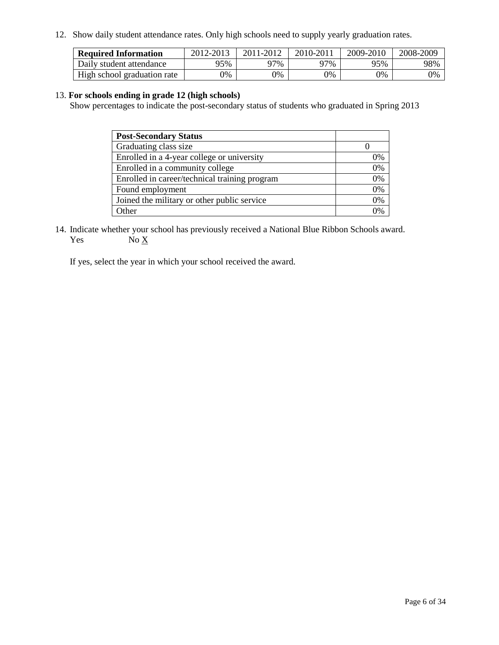12. Show daily student attendance rates. Only high schools need to supply yearly graduation rates.

| <b>Required Information</b> | 2012-2013 | 2011-2012 | 2010-2011 | 2009-2010 | 2008-2009 |
|-----------------------------|-----------|-----------|-----------|-----------|-----------|
| Daily student attendance    | 95%       | 97%       | 97%       | 95%       | 98%       |
| High school graduation rate | 9%        | 0%        | 0%        | 0%        | 0%        |

#### 13. **For schools ending in grade 12 (high schools)**

Show percentages to indicate the post-secondary status of students who graduated in Spring 2013

| <b>Post-Secondary Status</b>                  |                |
|-----------------------------------------------|----------------|
| Graduating class size                         |                |
| Enrolled in a 4-year college or university    | 0%             |
| Enrolled in a community college               | 0%             |
| Enrolled in career/technical training program | 0%             |
| Found employment                              | 0%             |
| Joined the military or other public service   | 0%             |
| <b>Other</b>                                  | $\gamma_{0/2}$ |

14. Indicate whether your school has previously received a National Blue Ribbon Schools award. Yes  $No \underline{X}$ 

If yes, select the year in which your school received the award.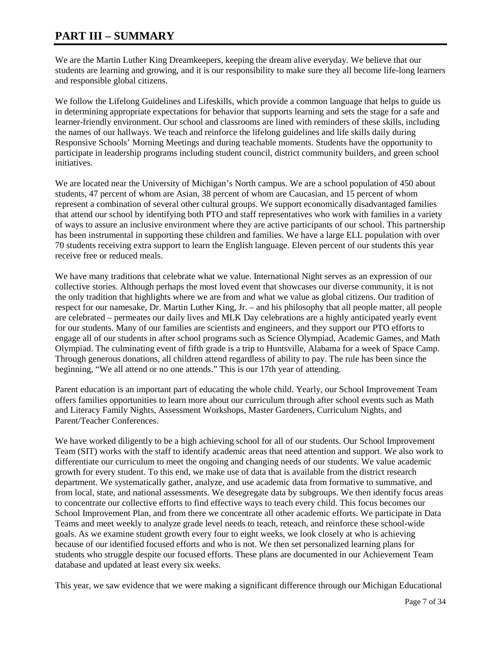# **PART III – SUMMARY**

We are the Martin Luther King Dreamkeepers, keeping the dream alive everyday. We believe that our students are learning and growing, and it is our responsibility to make sure they all become life-long learners and responsible global citizens.

We follow the Lifelong Guidelines and Lifeskills, which provide a common language that helps to guide us in determining appropriate expectations for behavior that supports learning and sets the stage for a safe and learner-friendly environment. Our school and classrooms are lined with reminders of these skills, including the names of our hallways. We teach and reinforce the lifelong guidelines and life skills daily during Responsive Schools' Morning Meetings and during teachable moments. Students have the opportunity to participate in leadership programs including student council, district community builders, and green school initiatives.

We are located near the University of Michigan's North campus. We are a school population of 450 about students, 47 percent of whom are Asian, 38 percent of whom are Caucasian, and 15 percent of whom represent a combination of several other cultural groups. We support economically disadvantaged families that attend our school by identifying both PTO and staff representatives who work with families in a variety of ways to assure an inclusive environment where they are active participants of our school. This partnership has been instrumental in supporting these children and families. We have a large ELL population with over 70 students receiving extra support to learn the English language. Eleven percent of our students this year receive free or reduced meals.

We have many traditions that celebrate what we value. International Night serves as an expression of our collective stories. Although perhaps the most loved event that showcases our diverse community, it is not the only tradition that highlights where we are from and what we value as global citizens. Our tradition of respect for our namesake, Dr. Martin Luther King, Jr. – and his philosophy that all people matter, all people are celebrated – permeates our daily lives and MLK Day celebrations are a highly anticipated yearly event for our students. Many of our families are scientists and engineers, and they support our PTO efforts to engage all of our students in after school programs such as Science Olympiad, Academic Games, and Math Olympiad. The culminating event of fifth grade is a trip to Huntsville, Alabama for a week of Space Camp. Through generous donations, all children attend regardless of ability to pay. The rule has been since the beginning, "We all attend or no one attends." This is our 17th year of attending.

Parent education is an important part of educating the whole child. Yearly, our School Improvement Team offers families opportunities to learn more about our curriculum through after school events such as Math and Literacy Family Nights, Assessment Workshops, Master Gardeners, Curriculum Nights, and Parent/Teacher Conferences.

We have worked diligently to be a high achieving school for all of our students. Our School Improvement Team (SIT) works with the staff to identify academic areas that need attention and support. We also work to differentiate our curriculum to meet the ongoing and changing needs of our students. We value academic growth for every student. To this end, we make use of data that is available from the district research department. We systematically gather, analyze, and use academic data from formative to summative, and from local, state, and national assessments. We desegregate data by subgroups. We then identify focus areas to concentrate our collective efforts to find effective ways to teach every child. This focus becomes our School Improvement Plan, and from there we concentrate all other academic efforts. We participate in Data Teams and meet weekly to analyze grade level needs to teach, reteach, and reinforce these school-wide goals. As we examine student growth every four to eight weeks, we look closely at who is achieving because of our identified focused efforts and who is not. We then set personalized learning plans for students who struggle despite our focused efforts. These plans are documented in our Achievement Team database and updated at least every six weeks.

This year, we saw evidence that we were making a significant difference through our Michigan Educational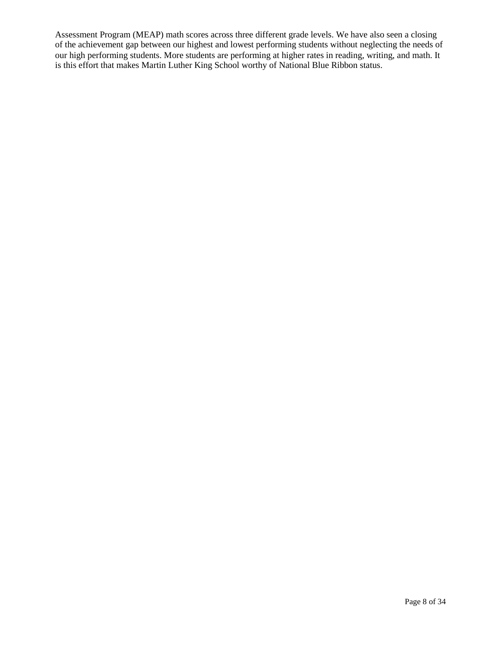Assessment Program (MEAP) math scores across three different grade levels. We have also seen a closing of the achievement gap between our highest and lowest performing students without neglecting the needs of our high performing students. More students are performing at higher rates in reading, writing, and math. It is this effort that makes Martin Luther King School worthy of National Blue Ribbon status.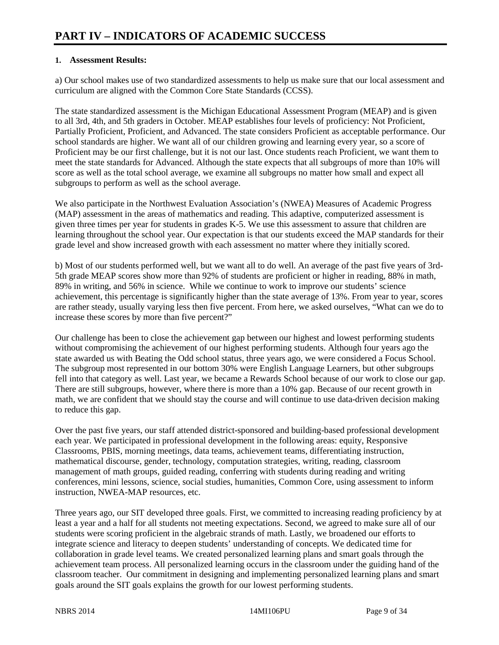#### **1. Assessment Results:**

a) Our school makes use of two standardized assessments to help us make sure that our local assessment and curriculum are aligned with the Common Core State Standards (CCSS).

The state standardized assessment is the Michigan Educational Assessment Program (MEAP) and is given to all 3rd, 4th, and 5th graders in October. MEAP establishes four levels of proficiency: Not Proficient, Partially Proficient, Proficient, and Advanced. The state considers Proficient as acceptable performance. Our school standards are higher. We want all of our children growing and learning every year, so a score of Proficient may be our first challenge, but it is not our last. Once students reach Proficient, we want them to meet the state standards for Advanced. Although the state expects that all subgroups of more than 10% will score as well as the total school average, we examine all subgroups no matter how small and expect all subgroups to perform as well as the school average.

We also participate in the Northwest Evaluation Association's (NWEA) Measures of Academic Progress (MAP) assessment in the areas of mathematics and reading. This adaptive, computerized assessment is given three times per year for students in grades K-5. We use this assessment to assure that children are learning throughout the school year. Our expectation is that our students exceed the MAP standards for their grade level and show increased growth with each assessment no matter where they initially scored.

b) Most of our students performed well, but we want all to do well. An average of the past five years of 3rd-5th grade MEAP scores show more than 92% of students are proficient or higher in reading, 88% in math, 89% in writing, and 56% in science. While we continue to work to improve our students' science achievement, this percentage is significantly higher than the state average of 13%. From year to year, scores are rather steady, usually varying less then five percent. From here, we asked ourselves, "What can we do to increase these scores by more than five percent?"

Our challenge has been to close the achievement gap between our highest and lowest performing students without compromising the achievement of our highest performing students. Although four years ago the state awarded us with Beating the Odd school status, three years ago, we were considered a Focus School. The subgroup most represented in our bottom 30% were English Language Learners, but other subgroups fell into that category as well. Last year, we became a Rewards School because of our work to close our gap. There are still subgroups, however, where there is more than a 10% gap. Because of our recent growth in math, we are confident that we should stay the course and will continue to use data-driven decision making to reduce this gap.

Over the past five years, our staff attended district-sponsored and building-based professional development each year. We participated in professional development in the following areas: equity, Responsive Classrooms, PBIS, morning meetings, data teams, achievement teams, differentiating instruction, mathematical discourse, gender, technology, computation strategies, writing, reading, classroom management of math groups, guided reading, conferring with students during reading and writing conferences, mini lessons, science, social studies, humanities, Common Core, using assessment to inform instruction, NWEA-MAP resources, etc.

Three years ago, our SIT developed three goals. First, we committed to increasing reading proficiency by at least a year and a half for all students not meeting expectations. Second, we agreed to make sure all of our students were scoring proficient in the algebraic strands of math. Lastly, we broadened our efforts to integrate science and literacy to deepen students' understanding of concepts. We dedicated time for collaboration in grade level teams. We created personalized learning plans and smart goals through the achievement team process. All personalized learning occurs in the classroom under the guiding hand of the classroom teacher. Our commitment in designing and implementing personalized learning plans and smart goals around the SIT goals explains the growth for our lowest performing students.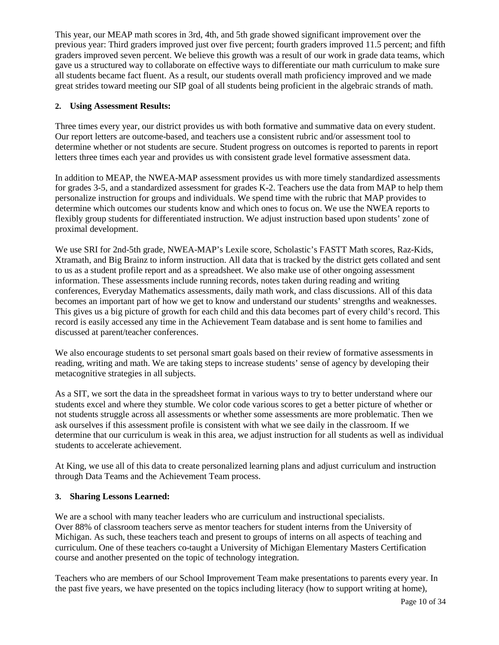This year, our MEAP math scores in 3rd, 4th, and 5th grade showed significant improvement over the previous year: Third graders improved just over five percent; fourth graders improved 11.5 percent; and fifth graders improved seven percent. We believe this growth was a result of our work in grade data teams, which gave us a structured way to collaborate on effective ways to differentiate our math curriculum to make sure all students became fact fluent. As a result, our students overall math proficiency improved and we made great strides toward meeting our SIP goal of all students being proficient in the algebraic strands of math.

#### **2. Using Assessment Results:**

Three times every year, our district provides us with both formative and summative data on every student. Our report letters are outcome-based, and teachers use a consistent rubric and/or assessment tool to determine whether or not students are secure. Student progress on outcomes is reported to parents in report letters three times each year and provides us with consistent grade level formative assessment data.

In addition to MEAP, the NWEA-MAP assessment provides us with more timely standardized assessments for grades 3-5, and a standardized assessment for grades K-2. Teachers use the data from MAP to help them personalize instruction for groups and individuals. We spend time with the rubric that MAP provides to determine which outcomes our students know and which ones to focus on. We use the NWEA reports to flexibly group students for differentiated instruction. We adjust instruction based upon students' zone of proximal development.

We use SRI for 2nd-5th grade, NWEA-MAP's Lexile score, Scholastic's FASTT Math scores, Raz-Kids, Xtramath, and Big Brainz to inform instruction. All data that is tracked by the district gets collated and sent to us as a student profile report and as a spreadsheet. We also make use of other ongoing assessment information. These assessments include running records, notes taken during reading and writing conferences, Everyday Mathematics assessments, daily math work, and class discussions. All of this data becomes an important part of how we get to know and understand our students' strengths and weaknesses. This gives us a big picture of growth for each child and this data becomes part of every child's record. This record is easily accessed any time in the Achievement Team database and is sent home to families and discussed at parent/teacher conferences.

We also encourage students to set personal smart goals based on their review of formative assessments in reading, writing and math. We are taking steps to increase students' sense of agency by developing their metacognitive strategies in all subjects.

As a SIT, we sort the data in the spreadsheet format in various ways to try to better understand where our students excel and where they stumble. We color code various scores to get a better picture of whether or not students struggle across all assessments or whether some assessments are more problematic. Then we ask ourselves if this assessment profile is consistent with what we see daily in the classroom. If we determine that our curriculum is weak in this area, we adjust instruction for all students as well as individual students to accelerate achievement.

At King, we use all of this data to create personalized learning plans and adjust curriculum and instruction through Data Teams and the Achievement Team process.

#### **3. Sharing Lessons Learned:**

We are a school with many teacher leaders who are curriculum and instructional specialists. Over 88% of classroom teachers serve as mentor teachers for student interns from the University of Michigan. As such, these teachers teach and present to groups of interns on all aspects of teaching and curriculum. One of these teachers co-taught a University of Michigan Elementary Masters Certification course and another presented on the topic of technology integration.

Teachers who are members of our School Improvement Team make presentations to parents every year. In the past five years, we have presented on the topics including literacy (how to support writing at home),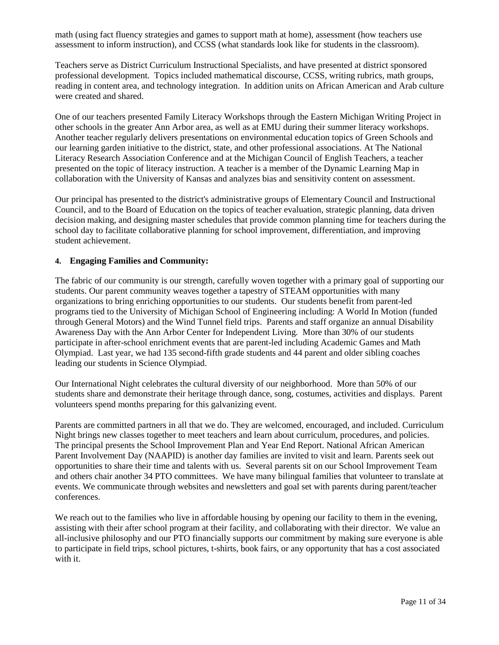math (using fact fluency strategies and games to support math at home), assessment (how teachers use assessment to inform instruction), and CCSS (what standards look like for students in the classroom).

Teachers serve as District Curriculum Instructional Specialists, and have presented at district sponsored professional development. Topics included mathematical discourse, CCSS, writing rubrics, math groups, reading in content area, and technology integration. In addition units on African American and Arab culture were created and shared.

One of our teachers presented Family Literacy Workshops through the Eastern Michigan Writing Project in other schools in the greater Ann Arbor area, as well as at EMU during their summer literacy workshops. Another teacher regularly delivers presentations on environmental education topics of Green Schools and our learning garden initiative to the district, state, and other professional associations. At The National Literacy Research Association Conference and at the Michigan Council of English Teachers, a teacher presented on the topic of literacy instruction. A teacher is a member of the Dynamic Learning Map in collaboration with the University of Kansas and analyzes bias and sensitivity content on assessment.

Our principal has presented to the district's administrative groups of Elementary Council and Instructional Council, and to the Board of Education on the topics of teacher evaluation, strategic planning, data driven decision making, and designing master schedules that provide common planning time for teachers during the school day to facilitate collaborative planning for school improvement, differentiation, and improving student achievement.

#### **4. Engaging Families and Community:**

The fabric of our community is our strength, carefully woven together with a primary goal of supporting our students. Our parent community weaves together a tapestry of STEAM opportunities with many organizations to bring enriching opportunities to our students. Our students benefit from parent-led programs tied to the University of Michigan School of Engineering including: A World In Motion (funded through General Motors) and the Wind Tunnel field trips. Parents and staff organize an annual Disability Awareness Day with the Ann Arbor Center for Independent Living. More than 30% of our students participate in after-school enrichment events that are parent-led including Academic Games and Math Olympiad. Last year, we had 135 second-fifth grade students and 44 parent and older sibling coaches leading our students in Science Olympiad.

Our International Night celebrates the cultural diversity of our neighborhood. More than 50% of our students share and demonstrate their heritage through dance, song, costumes, activities and displays. Parent volunteers spend months preparing for this galvanizing event.

Parents are committed partners in all that we do. They are welcomed, encouraged, and included. Curriculum Night brings new classes together to meet teachers and learn about curriculum, procedures, and policies. The principal presents the School Improvement Plan and Year End Report. National African American Parent Involvement Day (NAAPID) is another day families are invited to visit and learn. Parents seek out opportunities to share their time and talents with us. Several parents sit on our School Improvement Team and others chair another 34 PTO committees. We have many bilingual families that volunteer to translate at events. We communicate through websites and newsletters and goal set with parents during parent/teacher conferences.

We reach out to the families who live in affordable housing by opening our facility to them in the evening, assisting with their after school program at their facility, and collaborating with their director. We value an all-inclusive philosophy and our PTO financially supports our commitment by making sure everyone is able to participate in field trips, school pictures, t-shirts, book fairs, or any opportunity that has a cost associated with it.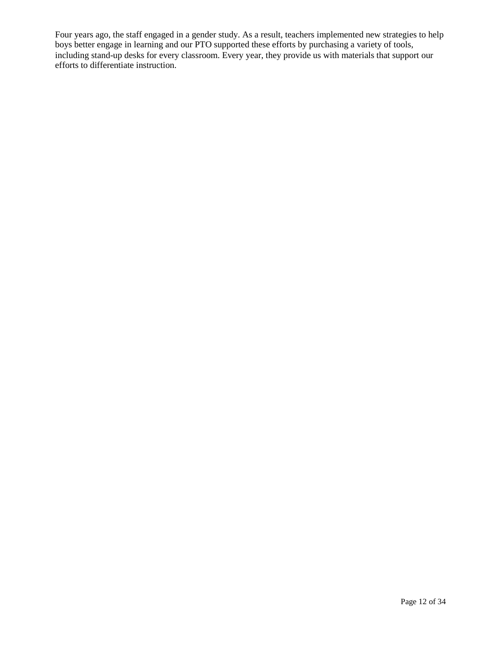Four years ago, the staff engaged in a gender study. As a result, teachers implemented new strategies to help boys better engage in learning and our PTO supported these efforts by purchasing a variety of tools, including stand-up desks for every classroom. Every year, they provide us with materials that support our efforts to differentiate instruction.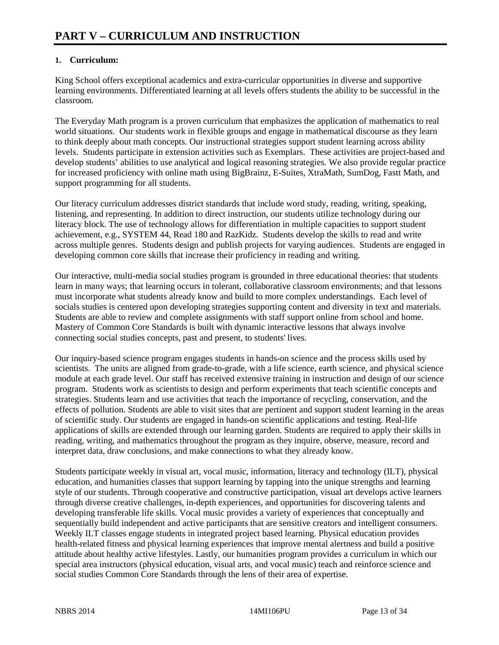### **1. Curriculum:**

King School offers exceptional academics and extra-curricular opportunities in diverse and supportive learning environments. Differentiated learning at all levels offers students the ability to be successful in the classroom.

The Everyday Math program is a proven curriculum that emphasizes the application of mathematics to real world situations. Our students work in flexible groups and engage in mathematical discourse as they learn to think deeply about math concepts. Our instructional strategies support student learning across ability levels. Students participate in extension activities such as Exemplars. These activities are project-based and develop students' abilities to use analytical and logical reasoning strategies. We also provide regular practice for increased proficiency with online math using BigBrainz, E-Suites, XtraMath, SumDog, Fastt Math, and support programming for all students.

Our literacy curriculum addresses district standards that include word study, reading, writing, speaking, listening, and representing. In addition to direct instruction, our students utilize technology during our literacy block. The use of technology allows for differentiation in multiple capacities to support student achievement, e.g., SYSTEM 44, Read 180 and RazKidz. Students develop the skills to read and write across multiple genres. Students design and publish projects for varying audiences. Students are engaged in developing common core skills that increase their proficiency in reading and writing.

Our interactive, multi-media social studies program is grounded in three educational theories: that students learn in many ways; that learning occurs in tolerant, collaborative classroom environments; and that lessons must incorporate what students already know and build to more complex understandings. Each level of socials studies is centered upon developing strategies supporting content and diversity in text and materials. Students are able to review and complete assignments with staff support online from school and home. Mastery of Common Core Standards is built with dynamic interactive lessons that always involve connecting social studies concepts, past and present, to students' lives.

Our inquiry-based science program engages students in hands-on science and the process skills used by scientists. The units are aligned from grade-to-grade, with a life science, earth science, and physical science module at each grade level. Our staff has received extensive training in instruction and design of our science program. Students work as scientists to design and perform experiments that teach scientific concepts and strategies. Students learn and use activities that teach the importance of recycling, conservation, and the effects of pollution. Students are able to visit sites that are pertinent and support student learning in the areas of scientific study. Our students are engaged in hands-on scientific applications and testing. Real-life applications of skills are extended through our learning garden. Students are required to apply their skills in reading, writing, and mathematics throughout the program as they inquire, observe, measure, record and interpret data, draw conclusions, and make connections to what they already know.

Students participate weekly in visual art, vocal music, information, literacy and technology (ILT), physical education, and humanities classes that support learning by tapping into the unique strengths and learning style of our students. Through cooperative and constructive participation, visual art develops active learners through diverse creative challenges, in-depth experiences, and opportunities for discovering talents and developing transferable life skills. Vocal music provides a variety of experiences that conceptually and sequentially build independent and active participants that are sensitive creators and intelligent consumers. Weekly ILT classes engage students in integrated project based learning. Physical education provides health-related fitness and physical learning experiences that improve mental alertness and build a positive attitude about healthy active lifestyles. Lastly, our humanities program provides a curriculum in which our special area instructors (physical education, visual arts, and vocal music) teach and reinforce science and social studies Common Core Standards through the lens of their area of expertise.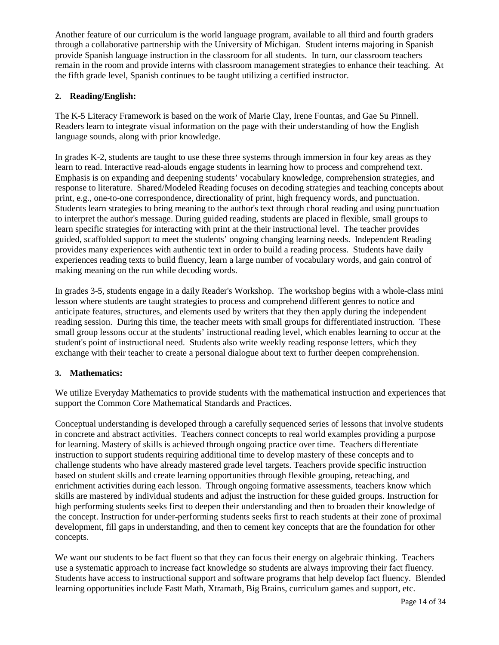Another feature of our curriculum is the world language program, available to all third and fourth graders through a collaborative partnership with the University of Michigan. Student interns majoring in Spanish provide Spanish language instruction in the classroom for all students. In turn, our classroom teachers remain in the room and provide interns with classroom management strategies to enhance their teaching. At the fifth grade level, Spanish continues to be taught utilizing a certified instructor.

#### **2. Reading/English:**

The K-5 Literacy Framework is based on the work of Marie Clay, Irene Fountas, and Gae Su Pinnell. Readers learn to integrate visual information on the page with their understanding of how the English language sounds, along with prior knowledge.

In grades K-2, students are taught to use these three systems through immersion in four key areas as they learn to read. Interactive read-alouds engage students in learning how to process and comprehend text. Emphasis is on expanding and deepening students' vocabulary knowledge, comprehension strategies, and response to literature. Shared/Modeled Reading focuses on decoding strategies and teaching concepts about print, e.g., one-to-one correspondence, directionality of print, high frequency words, and punctuation. Students learn strategies to bring meaning to the author's text through choral reading and using punctuation to interpret the author's message. During guided reading, students are placed in flexible, small groups to learn specific strategies for interacting with print at the their instructional level. The teacher provides guided, scaffolded support to meet the students' ongoing changing learning needs. Independent Reading provides many experiences with authentic text in order to build a reading process. Students have daily experiences reading texts to build fluency, learn a large number of vocabulary words, and gain control of making meaning on the run while decoding words.

In grades 3-5, students engage in a daily Reader's Workshop. The workshop begins with a whole-class mini lesson where students are taught strategies to process and comprehend different genres to notice and anticipate features, structures, and elements used by writers that they then apply during the independent reading session. During this time, the teacher meets with small groups for differentiated instruction. These small group lessons occur at the students' instructional reading level, which enables learning to occur at the student's point of instructional need. Students also write weekly reading response letters, which they exchange with their teacher to create a personal dialogue about text to further deepen comprehension.

#### **3. Mathematics:**

We utilize Everyday Mathematics to provide students with the mathematical instruction and experiences that support the Common Core Mathematical Standards and Practices.

Conceptual understanding is developed through a carefully sequenced series of lessons that involve students in concrete and abstract activities. Teachers connect concepts to real world examples providing a purpose for learning. Mastery of skills is achieved through ongoing practice over time. Teachers differentiate instruction to support students requiring additional time to develop mastery of these concepts and to challenge students who have already mastered grade level targets. Teachers provide specific instruction based on student skills and create learning opportunities through flexible grouping, reteaching, and enrichment activities during each lesson. Through ongoing formative assessments, teachers know which skills are mastered by individual students and adjust the instruction for these guided groups. Instruction for high performing students seeks first to deepen their understanding and then to broaden their knowledge of the concept. Instruction for under-performing students seeks first to reach students at their zone of proximal development, fill gaps in understanding, and then to cement key concepts that are the foundation for other concepts.

We want our students to be fact fluent so that they can focus their energy on algebraic thinking. Teachers use a systematic approach to increase fact knowledge so students are always improving their fact fluency. Students have access to instructional support and software programs that help develop fact fluency. Blended learning opportunities include Fastt Math, Xtramath, Big Brains, curriculum games and support, etc.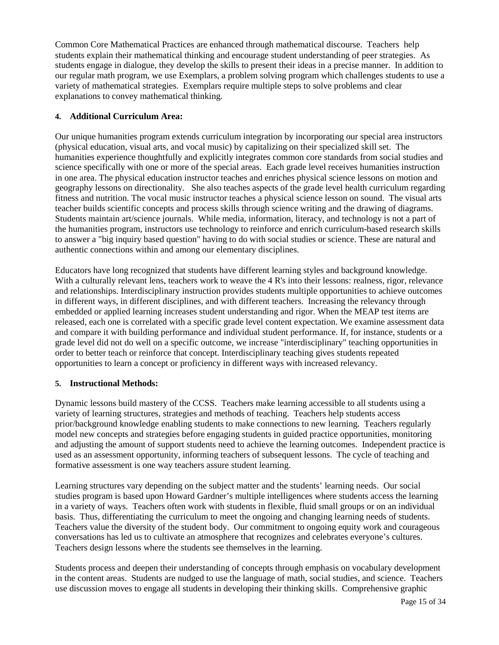Common Core Mathematical Practices are enhanced through mathematical discourse. Teachers help students explain their mathematical thinking and encourage student understanding of peer strategies. As students engage in dialogue, they develop the skills to present their ideas in a precise manner. In addition to our regular math program, we use Exemplars, a problem solving program which challenges students to use a variety of mathematical strategies. Exemplars require multiple steps to solve problems and clear explanations to convey mathematical thinking.

### **4. Additional Curriculum Area:**

Our unique humanities program extends curriculum integration by incorporating our special area instructors (physical education, visual arts, and vocal music) by capitalizing on their specialized skill set. The humanities experience thoughtfully and explicitly integrates common core standards from social studies and science specifically with one or more of the special areas. Each grade level receives humanities instruction in one area. The physical education instructor teaches and enriches physical science lessons on motion and geography lessons on directionality. She also teaches aspects of the grade level health curriculum regarding fitness and nutrition. The vocal music instructor teaches a physical science lesson on sound. The visual arts teacher builds scientific concepts and process skills through science writing and the drawing of diagrams. Students maintain art/science journals. While media, information, literacy, and technology is not a part of the humanities program, instructors use technology to reinforce and enrich curriculum-based research skills to answer a "big inquiry based question" having to do with social studies or science. These are natural and authentic connections within and among our elementary disciplines.

Educators have long recognized that students have different learning styles and background knowledge. With a culturally relevant lens, teachers work to weave the 4 R's into their lessons: realness, rigor, relevance and relationships. Interdisciplinary instruction provides students multiple opportunities to achieve outcomes in different ways, in different disciplines, and with different teachers. Increasing the relevancy through embedded or applied learning increases student understanding and rigor. When the MEAP test items are released, each one is correlated with a specific grade level content expectation. We examine assessment data and compare it with building performance and individual student performance. If, for instance, students or a grade level did not do well on a specific outcome, we increase "interdisciplinary" teaching opportunities in order to better teach or reinforce that concept. Interdisciplinary teaching gives students repeated opportunities to learn a concept or proficiency in different ways with increased relevancy.

### **5. Instructional Methods:**

Dynamic lessons build mastery of the CCSS. Teachers make learning accessible to all students using a variety of learning structures, strategies and methods of teaching. Teachers help students access prior/background knowledge enabling students to make connections to new learning. Teachers regularly model new concepts and strategies before engaging students in guided practice opportunities, monitoring and adjusting the amount of support students need to achieve the learning outcomes. Independent practice is used as an assessment opportunity, informing teachers of subsequent lessons. The cycle of teaching and formative assessment is one way teachers assure student learning.

Learning structures vary depending on the subject matter and the students' learning needs. Our social studies program is based upon Howard Gardner's multiple intelligences where students access the learning in a variety of ways. Teachers often work with students in flexible, fluid small groups or on an individual basis. Thus, differentiating the curriculum to meet the ongoing and changing learning needs of students. Teachers value the diversity of the student body. Our commitment to ongoing equity work and courageous conversations has led us to cultivate an atmosphere that recognizes and celebrates everyone's cultures. Teachers design lessons where the students see themselves in the learning.

Students process and deepen their understanding of concepts through emphasis on vocabulary development in the content areas. Students are nudged to use the language of math, social studies, and science. Teachers use discussion moves to engage all students in developing their thinking skills. Comprehensive graphic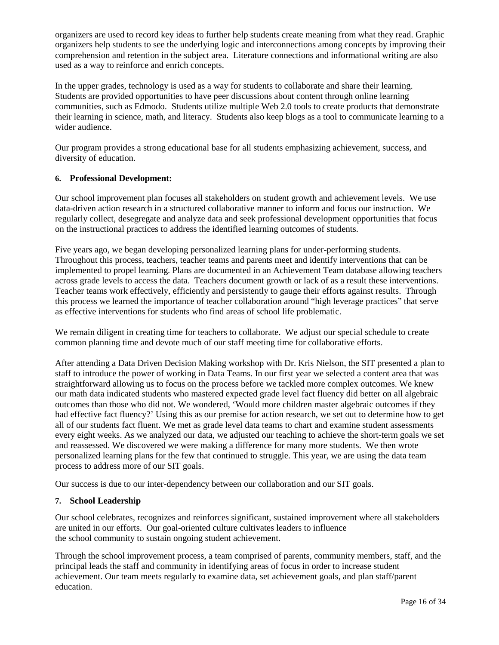organizers are used to record key ideas to further help students create meaning from what they read. Graphic organizers help students to see the underlying logic and interconnections among concepts by improving their comprehension and retention in the subject area. Literature connections and informational writing are also used as a way to reinforce and enrich concepts.

In the upper grades, technology is used as a way for students to collaborate and share their learning. Students are provided opportunities to have peer discussions about content through online learning communities, such as Edmodo. Students utilize multiple Web 2.0 tools to create products that demonstrate their learning in science, math, and literacy. Students also keep blogs as a tool to communicate learning to a wider audience.

Our program provides a strong educational base for all students emphasizing achievement, success, and diversity of education.

#### **6. Professional Development:**

Our school improvement plan focuses all stakeholders on student growth and achievement levels. We use data-driven action research in a structured collaborative manner to inform and focus our instruction. We regularly collect, desegregate and analyze data and seek professional development opportunities that focus on the instructional practices to address the identified learning outcomes of students.

Five years ago, we began developing personalized learning plans for under-performing students. Throughout this process, teachers, teacher teams and parents meet and identify interventions that can be implemented to propel learning. Plans are documented in an Achievement Team database allowing teachers across grade levels to access the data. Teachers document growth or lack of as a result these interventions. Teacher teams work effectively, efficiently and persistently to gauge their efforts against results. Through this process we learned the importance of teacher collaboration around "high leverage practices" that serve as effective interventions for students who find areas of school life problematic.

We remain diligent in creating time for teachers to collaborate. We adjust our special schedule to create common planning time and devote much of our staff meeting time for collaborative efforts.

After attending a Data Driven Decision Making workshop with Dr. Kris Nielson, the SIT presented a plan to staff to introduce the power of working in Data Teams. In our first year we selected a content area that was straightforward allowing us to focus on the process before we tackled more complex outcomes. We knew our math data indicated students who mastered expected grade level fact fluency did better on all algebraic outcomes than those who did not. We wondered, 'Would more children master algebraic outcomes if they had effective fact fluency?' Using this as our premise for action research, we set out to determine how to get all of our students fact fluent. We met as grade level data teams to chart and examine student assessments every eight weeks. As we analyzed our data, we adjusted our teaching to achieve the short-term goals we set and reassessed. We discovered we were making a difference for many more students. We then wrote personalized learning plans for the few that continued to struggle. This year, we are using the data team process to address more of our SIT goals.

Our success is due to our inter-dependency between our collaboration and our SIT goals.

### **7. School Leadership**

Our school celebrates, recognizes and reinforces significant, sustained improvement where all stakeholders are united in our efforts. Our goal-oriented culture cultivates leaders to influence the school community to sustain ongoing student achievement.

Through the school improvement process, a team comprised of parents, community members, staff, and the principal leads the staff and community in identifying areas of focus in order to increase student achievement. Our team meets regularly to examine data, set achievement goals, and plan staff/parent education.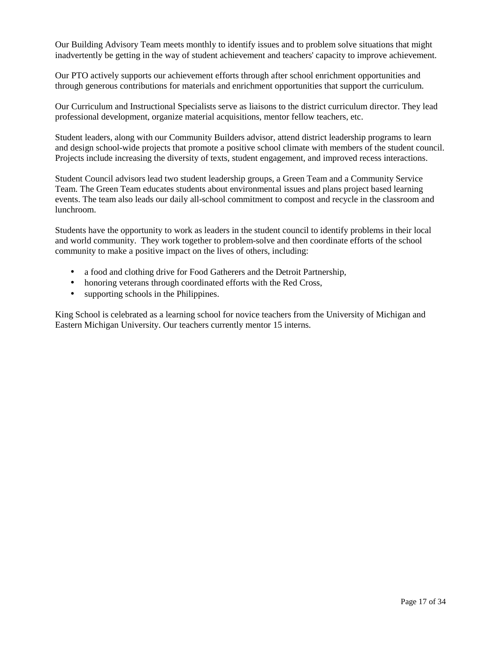Our Building Advisory Team meets monthly to identify issues and to problem solve situations that might inadvertently be getting in the way of student achievement and teachers' capacity to improve achievement.

Our PTO actively supports our achievement efforts through after school enrichment opportunities and through generous contributions for materials and enrichment opportunities that support the curriculum.

Our Curriculum and Instructional Specialists serve as liaisons to the district curriculum director. They lead professional development, organize material acquisitions, mentor fellow teachers, etc.

Student leaders, along with our Community Builders advisor, attend district leadership programs to learn and design school-wide projects that promote a positive school climate with members of the student council. Projects include increasing the diversity of texts, student engagement, and improved recess interactions.

Student Council advisors lead two student leadership groups, a Green Team and a Community Service Team. The Green Team educates students about environmental issues and plans project based learning events. The team also leads our daily all-school commitment to compost and recycle in the classroom and lunchroom.

Students have the opportunity to work as leaders in the student council to identify problems in their local and world community. They work together to problem-solve and then coordinate efforts of the school community to make a positive impact on the lives of others, including:

- a food and clothing drive for Food Gatherers and the Detroit Partnership,
- honoring veterans through coordinated efforts with the Red Cross,
- supporting schools in the Philippines.

King School is celebrated as a learning school for novice teachers from the University of Michigan and Eastern Michigan University. Our teachers currently mentor 15 interns.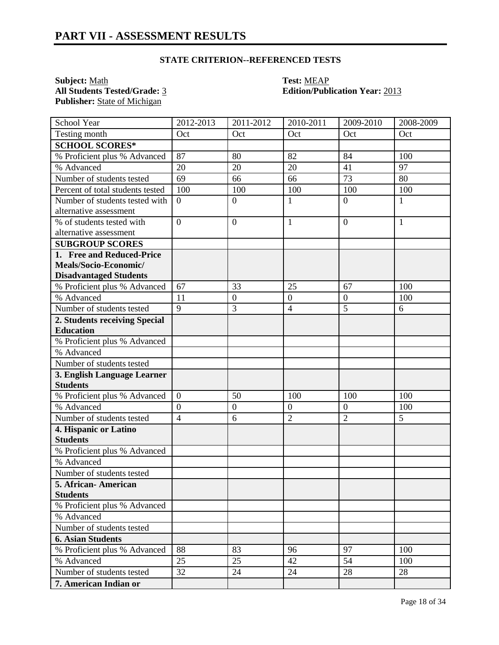### **STATE CRITERION--REFERENCED TESTS**

**Subject:** <u>Math</u><br> **All Students Tested/Grade:** <u>3</u> **Call Students Tested/Grade:** 3 **Call Students Tested/Grade:** 3 Publisher: **State of Michigan** 

# **All Students Tested/Grade:** 3 **Edition/Publication Year:** 2013

| School Year                      | 2012-2013        | 2011-2012      | 2010-2011        | 2009-2010        | 2008-2009    |
|----------------------------------|------------------|----------------|------------------|------------------|--------------|
| Testing month                    | Oct              | Oct            | Oct              | Oct              | Oct          |
| <b>SCHOOL SCORES*</b>            |                  |                |                  |                  |              |
| % Proficient plus % Advanced     | 87               | 80             | 82               | 84               | 100          |
| % Advanced                       | 20               | 20             | 20               | 41               | 97           |
| Number of students tested        | 69               | 66             | 66               | 73               | 80           |
| Percent of total students tested | 100              | 100            | 100              | 100              | 100          |
| Number of students tested with   | $\overline{0}$   | $\overline{0}$ | 1                | $\overline{0}$   | 1            |
| alternative assessment           |                  |                |                  |                  |              |
| % of students tested with        | $\overline{0}$   | $\overline{0}$ | 1                | $\boldsymbol{0}$ | $\mathbf{1}$ |
| alternative assessment           |                  |                |                  |                  |              |
| <b>SUBGROUP SCORES</b>           |                  |                |                  |                  |              |
| 1. Free and Reduced-Price        |                  |                |                  |                  |              |
| Meals/Socio-Economic/            |                  |                |                  |                  |              |
| <b>Disadvantaged Students</b>    |                  |                |                  |                  |              |
| % Proficient plus % Advanced     | 67               | 33             | 25               | 67               | 100          |
| % Advanced                       | 11               | $\mathbf{0}$   | $\boldsymbol{0}$ | $\boldsymbol{0}$ | 100          |
| Number of students tested        | $\overline{9}$   | 3              | $\overline{4}$   | $\overline{5}$   | 6            |
| 2. Students receiving Special    |                  |                |                  |                  |              |
| <b>Education</b>                 |                  |                |                  |                  |              |
| % Proficient plus % Advanced     |                  |                |                  |                  |              |
| % Advanced                       |                  |                |                  |                  |              |
| Number of students tested        |                  |                |                  |                  |              |
| 3. English Language Learner      |                  |                |                  |                  |              |
| <b>Students</b>                  |                  |                |                  |                  |              |
| % Proficient plus % Advanced     | $\overline{0}$   | 50             | 100              | 100              | 100          |
| % Advanced                       | $\boldsymbol{0}$ | $\overline{0}$ | $\mathbf{0}$     | $\boldsymbol{0}$ | 100          |
| Number of students tested        | $\overline{4}$   | 6              | $\overline{2}$   | $\overline{2}$   | 5            |
| 4. Hispanic or Latino            |                  |                |                  |                  |              |
| <b>Students</b>                  |                  |                |                  |                  |              |
| % Proficient plus % Advanced     |                  |                |                  |                  |              |
| % Advanced                       |                  |                |                  |                  |              |
| Number of students tested        |                  |                |                  |                  |              |
| 5. African-American              |                  |                |                  |                  |              |
| <b>Students</b>                  |                  |                |                  |                  |              |
| % Proficient plus % Advanced     |                  |                |                  |                  |              |
| % Advanced                       |                  |                |                  |                  |              |
| Number of students tested        |                  |                |                  |                  |              |
| <b>6. Asian Students</b>         |                  |                |                  |                  |              |
| % Proficient plus % Advanced     | 88               | 83             | 96               | 97               | 100          |
| % Advanced                       | 25               | 25             | 42               | 54               | 100          |
| Number of students tested        | 32               | 24             | 24               | 28               | 28           |
| 7. American Indian or            |                  |                |                  |                  |              |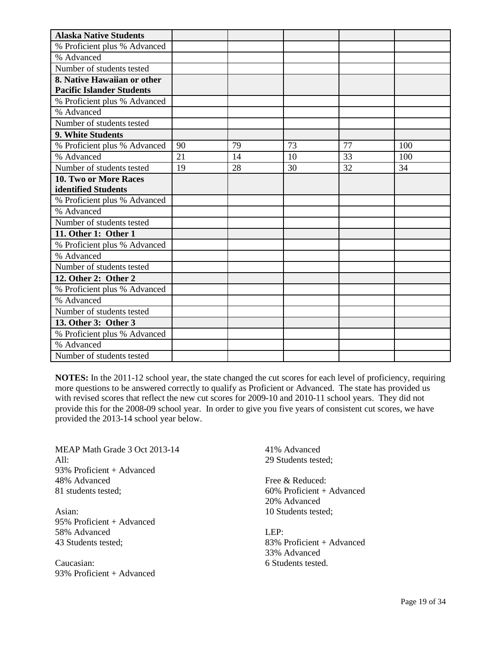| <b>Alaska Native Students</b>    |    |    |    |    |     |
|----------------------------------|----|----|----|----|-----|
| % Proficient plus % Advanced     |    |    |    |    |     |
| % Advanced                       |    |    |    |    |     |
| Number of students tested        |    |    |    |    |     |
| 8. Native Hawaiian or other      |    |    |    |    |     |
| <b>Pacific Islander Students</b> |    |    |    |    |     |
| % Proficient plus % Advanced     |    |    |    |    |     |
| % Advanced                       |    |    |    |    |     |
| Number of students tested        |    |    |    |    |     |
| 9. White Students                |    |    |    |    |     |
| % Proficient plus % Advanced     | 90 | 79 | 73 | 77 | 100 |
| % Advanced                       | 21 | 14 | 10 | 33 | 100 |
| Number of students tested        | 19 | 28 | 30 | 32 | 34  |
| <b>10. Two or More Races</b>     |    |    |    |    |     |
| identified Students              |    |    |    |    |     |
| % Proficient plus % Advanced     |    |    |    |    |     |
| % Advanced                       |    |    |    |    |     |
| Number of students tested        |    |    |    |    |     |
| 11. Other 1: Other 1             |    |    |    |    |     |
| % Proficient plus % Advanced     |    |    |    |    |     |
| % Advanced                       |    |    |    |    |     |
| Number of students tested        |    |    |    |    |     |
| 12. Other 2: Other 2             |    |    |    |    |     |
| % Proficient plus % Advanced     |    |    |    |    |     |
| % Advanced                       |    |    |    |    |     |
| Number of students tested        |    |    |    |    |     |
| 13. Other 3: Other 3             |    |    |    |    |     |
| % Proficient plus % Advanced     |    |    |    |    |     |
| % Advanced                       |    |    |    |    |     |
| Number of students tested        |    |    |    |    |     |

**NOTES:** In the 2011-12 school year, the state changed the cut scores for each level of proficiency, requiring more questions to be answered correctly to qualify as Proficient or Advanced. The state has provided us with revised scores that reflect the new cut scores for 2009-10 and 2010-11 school years. They did not provide this for the 2008-09 school year. In order to give you five years of consistent cut scores, we have provided the 2013-14 school year below.

MEAP Math Grade 3 Oct 2013-14  $All:$ 93% Proficient + Advanced 48% Advanced 81 students tested;

Asian: 95% Proficient + Advanced 58% Advanced 43 Students tested;

Caucasian: 93% Proficient + Advanced 41% Advanced 29 Students tested;

Free & Reduced: 60% Proficient + Advanced 20% Advanced 10 Students tested;

LEP: 83% Proficient + Advanced 33% Advanced 6 Students tested.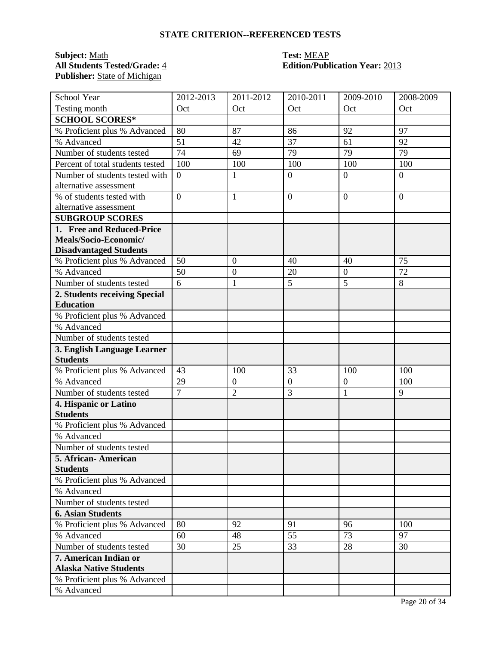## **STATE CRITERION--REFERENCED TESTS**

# **Subject:** <u>Math</u><br> **All Students Tested/Grade:** 4 **Test: MEAP**<br> **Edition/Publ** Publisher: **State of Michigan**

# **All Students Tested/Grade:** 4 **Edition/Publication Year:** 2013

| School Year                      | 2012-2013      | 2011-2012        | 2010-2011        | 2009-2010        | 2008-2009      |
|----------------------------------|----------------|------------------|------------------|------------------|----------------|
| Testing month                    | Oct            | Oct              | Oct              | Oct              | Oct            |
| <b>SCHOOL SCORES*</b>            |                |                  |                  |                  |                |
| % Proficient plus % Advanced     | 80             | 87               | 86               | 92               | 97             |
| % Advanced                       | 51             | 42               | 37               | 61               | 92             |
| Number of students tested        | 74             | 69               | 79               | 79               | 79             |
| Percent of total students tested | 100            | 100              | 100              | 100              | 100            |
| Number of students tested with   | $\overline{0}$ | 1                | $\boldsymbol{0}$ | $\overline{0}$   | $\overline{0}$ |
| alternative assessment           |                |                  |                  |                  |                |
| % of students tested with        | $\overline{0}$ | $\mathbf{1}$     | $\overline{0}$   | $\overline{0}$   | $\overline{0}$ |
| alternative assessment           |                |                  |                  |                  |                |
| <b>SUBGROUP SCORES</b>           |                |                  |                  |                  |                |
| 1. Free and Reduced-Price        |                |                  |                  |                  |                |
| Meals/Socio-Economic/            |                |                  |                  |                  |                |
| <b>Disadvantaged Students</b>    |                |                  |                  |                  |                |
| % Proficient plus % Advanced     | 50             | $\overline{0}$   | 40               | 40               | 75             |
| % Advanced                       | 50             | $\boldsymbol{0}$ | 20               | $\overline{0}$   | 72             |
| Number of students tested        | 6              | 1                | 5                | $\overline{5}$   | 8              |
| 2. Students receiving Special    |                |                  |                  |                  |                |
| <b>Education</b>                 |                |                  |                  |                  |                |
| % Proficient plus % Advanced     |                |                  |                  |                  |                |
| % Advanced                       |                |                  |                  |                  |                |
| Number of students tested        |                |                  |                  |                  |                |
| 3. English Language Learner      |                |                  |                  |                  |                |
| <b>Students</b>                  |                |                  |                  |                  |                |
| % Proficient plus % Advanced     | 43             | 100              | 33               | 100              | 100            |
| % Advanced                       | 29             | $\mathbf{0}$     | $\overline{0}$   | $\boldsymbol{0}$ | 100            |
| Number of students tested        | $\overline{7}$ | $\overline{2}$   | 3                | $\mathbf{1}$     | 9              |
| 4. Hispanic or Latino            |                |                  |                  |                  |                |
| <b>Students</b>                  |                |                  |                  |                  |                |
| % Proficient plus % Advanced     |                |                  |                  |                  |                |
| % Advanced                       |                |                  |                  |                  |                |
| Number of students tested        |                |                  |                  |                  |                |
| 5. African- American             |                |                  |                  |                  |                |
| <b>Students</b>                  |                |                  |                  |                  |                |
| % Proficient plus % Advanced     |                |                  |                  |                  |                |
| % Advanced                       |                |                  |                  |                  |                |
| Number of students tested        |                |                  |                  |                  |                |
| <b>6. Asian Students</b>         |                |                  |                  |                  |                |
| % Proficient plus % Advanced     | 80             | 92               | 91               | 96               | 100            |
| % Advanced                       | 60             | 48               | 55               | 73               | 97             |
| Number of students tested        | 30             | 25               | 33               | 28               | 30             |
| 7. American Indian or            |                |                  |                  |                  |                |
| <b>Alaska Native Students</b>    |                |                  |                  |                  |                |
| % Proficient plus % Advanced     |                |                  |                  |                  |                |
| % Advanced                       |                |                  |                  |                  |                |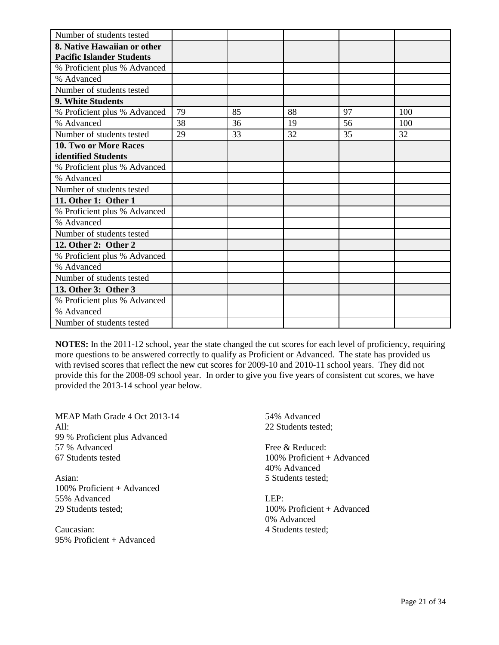| Number of students tested        |    |    |    |    |     |
|----------------------------------|----|----|----|----|-----|
| 8. Native Hawaiian or other      |    |    |    |    |     |
| <b>Pacific Islander Students</b> |    |    |    |    |     |
| % Proficient plus % Advanced     |    |    |    |    |     |
| % Advanced                       |    |    |    |    |     |
| Number of students tested        |    |    |    |    |     |
| 9. White Students                |    |    |    |    |     |
| % Proficient plus % Advanced     | 79 | 85 | 88 | 97 | 100 |
| % Advanced                       | 38 | 36 | 19 | 56 | 100 |
| Number of students tested        | 29 | 33 | 32 | 35 | 32  |
| <b>10. Two or More Races</b>     |    |    |    |    |     |
| identified Students              |    |    |    |    |     |
| % Proficient plus % Advanced     |    |    |    |    |     |
| % Advanced                       |    |    |    |    |     |
| Number of students tested        |    |    |    |    |     |
| 11. Other 1: Other 1             |    |    |    |    |     |
| % Proficient plus % Advanced     |    |    |    |    |     |
| % Advanced                       |    |    |    |    |     |
| Number of students tested        |    |    |    |    |     |
| 12. Other 2: Other 2             |    |    |    |    |     |
| % Proficient plus % Advanced     |    |    |    |    |     |
| % Advanced                       |    |    |    |    |     |
| Number of students tested        |    |    |    |    |     |
| 13. Other 3: Other 3             |    |    |    |    |     |
| % Proficient plus % Advanced     |    |    |    |    |     |
| % Advanced                       |    |    |    |    |     |
| Number of students tested        |    |    |    |    |     |

**NOTES:** In the 2011-12 school, year the state changed the cut scores for each level of proficiency, requiring more questions to be answered correctly to qualify as Proficient or Advanced. The state has provided us with revised scores that reflect the new cut scores for 2009-10 and 2010-11 school years. They did not provide this for the 2008-09 school year. In order to give you five years of consistent cut scores, we have provided the 2013-14 school year below.

MEAP Math Grade 4 Oct 2013-14 All: 99 % Proficient plus Advanced 57 % Advanced 67 Students tested

Asian: 100% Proficient + Advanced 55% Advanced 29 Students tested;

Caucasian: 95% Proficient + Advanced 54% Advanced 22 Students tested;

Free & Reduced: 100% Proficient + Advanced 40% Advanced 5 Students tested;

LEP: 100% Proficient + Advanced 0% Advanced 4 Students tested;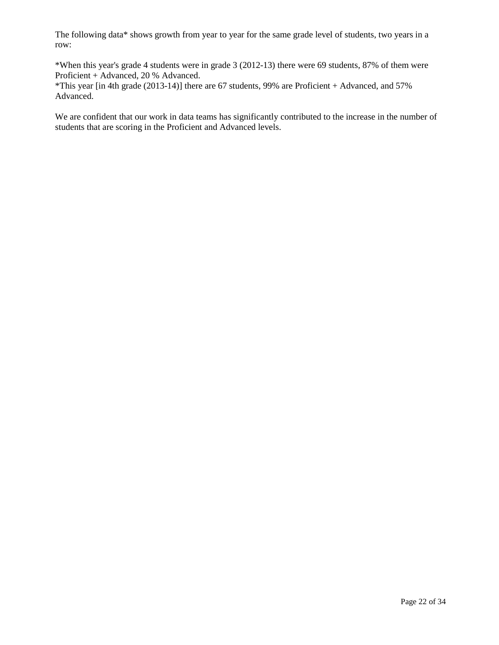The following data\* shows growth from year to year for the same grade level of students, two years in a row:

\*When this year's grade 4 students were in grade 3 (2012-13) there were 69 students, 87% of them were Proficient + Advanced, 20 % Advanced.

\*This year [in 4th grade (2013-14)] there are 67 students, 99% are Proficient + Advanced, and 57% Advanced.

We are confident that our work in data teams has significantly contributed to the increase in the number of students that are scoring in the Proficient and Advanced levels.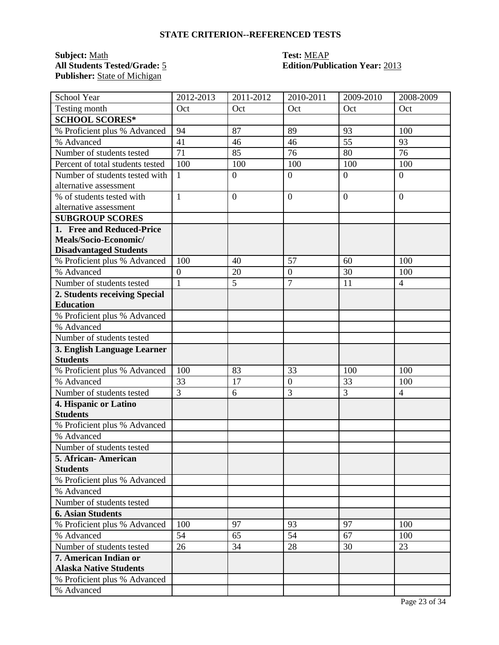## **STATE CRITERION--REFERENCED TESTS**

# **Subject:** <u>Math</u><br> **All Students Tested/Grade:** <u>5</u> **Test: MEAP**<br> **Edition/Publ** Publisher: **State of Michigan**

# **All Students Tested/Grade:** 5 **Edition/Publication Year:** 2013

| School Year                      | 2012-2013        | $2011 - 2012$    | $2010 - 2011$    | 2009-2010      | 2008-2009      |
|----------------------------------|------------------|------------------|------------------|----------------|----------------|
| Testing month                    | Oct              | Oct              | Oct              | Oct            | Oct            |
| <b>SCHOOL SCORES*</b>            |                  |                  |                  |                |                |
| % Proficient plus % Advanced     | 94               | 87               | 89               | 93             | 100            |
| % Advanced                       | 41               | 46               | 46               | 55             | 93             |
| Number of students tested        | 71               | 85               | 76               | 80             | 76             |
| Percent of total students tested | 100              | 100              | 100              | 100            | 100            |
| Number of students tested with   | $\mathbf{1}$     | $\boldsymbol{0}$ | $\mathbf{0}$     | $\overline{0}$ | $\theta$       |
| alternative assessment           |                  |                  |                  |                |                |
| % of students tested with        | $\mathbf{1}$     | $\overline{0}$   | $\overline{0}$   | $\overline{0}$ | $\theta$       |
| alternative assessment           |                  |                  |                  |                |                |
| <b>SUBGROUP SCORES</b>           |                  |                  |                  |                |                |
| 1. Free and Reduced-Price        |                  |                  |                  |                |                |
| Meals/Socio-Economic/            |                  |                  |                  |                |                |
| <b>Disadvantaged Students</b>    |                  |                  |                  |                |                |
| % Proficient plus % Advanced     | 100              | 40               | 57               | 60             | 100            |
| % Advanced                       | $\boldsymbol{0}$ | 20               | $\boldsymbol{0}$ | 30             | 100            |
| Number of students tested        | $\mathbf{1}$     | 5                | $\overline{7}$   | 11             | $\overline{4}$ |
| 2. Students receiving Special    |                  |                  |                  |                |                |
| <b>Education</b>                 |                  |                  |                  |                |                |
| % Proficient plus % Advanced     |                  |                  |                  |                |                |
| % Advanced                       |                  |                  |                  |                |                |
| Number of students tested        |                  |                  |                  |                |                |
| 3. English Language Learner      |                  |                  |                  |                |                |
| <b>Students</b>                  |                  |                  |                  |                |                |
| % Proficient plus % Advanced     | 100              | 83               | 33               | 100            | 100            |
| % Advanced                       | 33               | 17               | $\mathbf{0}$     | 33             | 100            |
| Number of students tested        | $\overline{3}$   | 6                | 3                | $\overline{3}$ | $\overline{4}$ |
| 4. Hispanic or Latino            |                  |                  |                  |                |                |
| <b>Students</b>                  |                  |                  |                  |                |                |
| % Proficient plus % Advanced     |                  |                  |                  |                |                |
| % Advanced                       |                  |                  |                  |                |                |
| Number of students tested        |                  |                  |                  |                |                |
| 5. African- American             |                  |                  |                  |                |                |
| <b>Students</b>                  |                  |                  |                  |                |                |
| % Proficient plus % Advanced     |                  |                  |                  |                |                |
| % Advanced                       |                  |                  |                  |                |                |
| Number of students tested        |                  |                  |                  |                |                |
| <b>6. Asian Students</b>         |                  |                  |                  |                |                |
| % Proficient plus % Advanced     | 100              | 97               | 93               | 97             | 100            |
| % Advanced                       | 54               | 65               | 54               | 67             | 100            |
| Number of students tested        | 26               | 34               | 28               | 30             | 23             |
| 7. American Indian or            |                  |                  |                  |                |                |
| <b>Alaska Native Students</b>    |                  |                  |                  |                |                |
| % Proficient plus % Advanced     |                  |                  |                  |                |                |
| % Advanced                       |                  |                  |                  |                |                |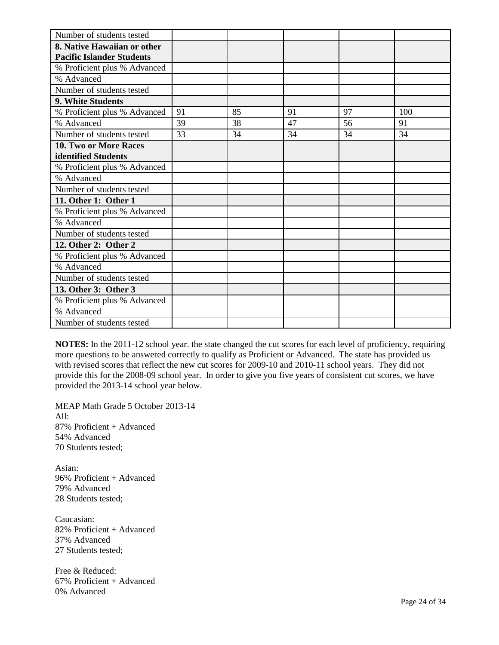| Number of students tested        |    |    |    |    |     |
|----------------------------------|----|----|----|----|-----|
| 8. Native Hawaiian or other      |    |    |    |    |     |
| <b>Pacific Islander Students</b> |    |    |    |    |     |
| % Proficient plus % Advanced     |    |    |    |    |     |
| % Advanced                       |    |    |    |    |     |
| Number of students tested        |    |    |    |    |     |
| 9. White Students                |    |    |    |    |     |
| % Proficient plus % Advanced     | 91 | 85 | 91 | 97 | 100 |
| % Advanced                       | 39 | 38 | 47 | 56 | 91  |
| Number of students tested        | 33 | 34 | 34 | 34 | 34  |
| <b>10. Two or More Races</b>     |    |    |    |    |     |
| identified Students              |    |    |    |    |     |
| % Proficient plus % Advanced     |    |    |    |    |     |
| % Advanced                       |    |    |    |    |     |
| Number of students tested        |    |    |    |    |     |
| 11. Other 1: Other 1             |    |    |    |    |     |
| % Proficient plus % Advanced     |    |    |    |    |     |
| % Advanced                       |    |    |    |    |     |
| Number of students tested        |    |    |    |    |     |
| 12. Other 2: Other 2             |    |    |    |    |     |
| % Proficient plus % Advanced     |    |    |    |    |     |
| % Advanced                       |    |    |    |    |     |
| Number of students tested        |    |    |    |    |     |
| 13. Other 3: Other 3             |    |    |    |    |     |
| % Proficient plus % Advanced     |    |    |    |    |     |
| % Advanced                       |    |    |    |    |     |
| Number of students tested        |    |    |    |    |     |

**NOTES:** In the 2011-12 school year. the state changed the cut scores for each level of proficiency, requiring more questions to be answered correctly to qualify as Proficient or Advanced. The state has provided us with revised scores that reflect the new cut scores for 2009-10 and 2010-11 school years. They did not provide this for the 2008-09 school year. In order to give you five years of consistent cut scores, we have provided the 2013-14 school year below.

MEAP Math Grade 5 October 2013-14 All: 87% Proficient + Advanced 54% Advanced 70 Students tested;

Asian: 96% Proficient + Advanced 79% Advanced 28 Students tested;

Caucasian: 82% Proficient + Advanced 37% Advanced 27 Students tested;

Free & Reduced: 67% Proficient + Advanced 0% Advanced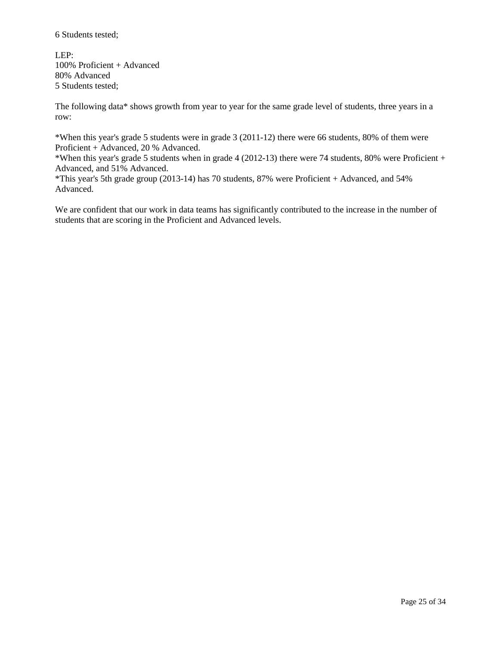6 Students tested;

LEP: 100% Proficient + Advanced 80% Advanced 5 Students tested;

The following data\* shows growth from year to year for the same grade level of students, three years in a row:

\*When this year's grade 5 students were in grade 3 (2011-12) there were 66 students, 80% of them were Proficient + Advanced, 20 % Advanced.

\*When this year's grade 5 students when in grade 4 (2012-13) there were 74 students, 80% were Proficient + Advanced, and 51% Advanced.

\*This year's 5th grade group (2013-14) has 70 students, 87% were Proficient + Advanced, and 54% Advanced.

We are confident that our work in data teams has significantly contributed to the increase in the number of students that are scoring in the Proficient and Advanced levels.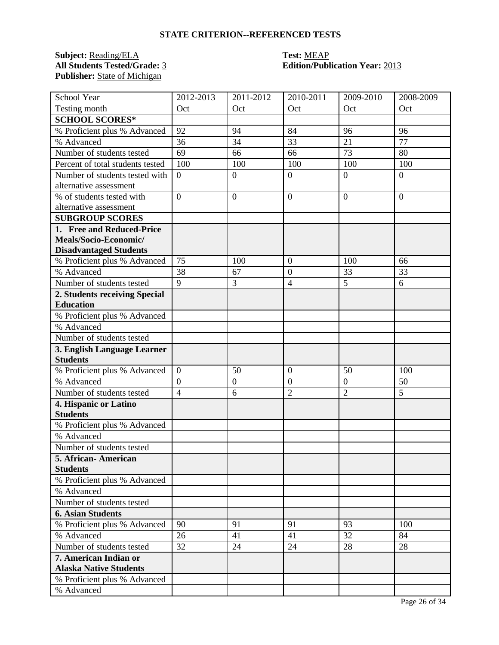## **STATE CRITERION--REFERENCED TESTS**

**Subject:** <u>Reading/ELA</u> **Test:** <u>MEAP</u><br> **All Students Tested/Grade:** 3 **Edition/Publ** Publisher: **State of Michigan** 

# **All Students Tested/Grade:** 3 **Edition/Publication Year:** 2013

| School Year                      | 2012-2013        | $2011 - 2012$    | 2010-2011        | 2009-2010      | 2008-2009 |
|----------------------------------|------------------|------------------|------------------|----------------|-----------|
| Testing month                    | Oct              | Oct              | Oct              | Oct            | Oct       |
| <b>SCHOOL SCORES*</b>            |                  |                  |                  |                |           |
| % Proficient plus % Advanced     | 92               | 94               | 84               | 96             | 96        |
| % Advanced                       | 36               | 34               | 33               | 21             | 77        |
| Number of students tested        | 69               | 66               | 66               | 73             | 80        |
| Percent of total students tested | 100              | 100              | 100              | 100            | 100       |
| Number of students tested with   | $\overline{0}$   | $\overline{0}$   | $\overline{0}$   | $\overline{0}$ | $\theta$  |
| alternative assessment           |                  |                  |                  |                |           |
| % of students tested with        | $\overline{0}$   | $\overline{0}$   | $\overline{0}$   | $\overline{0}$ | $\theta$  |
| alternative assessment           |                  |                  |                  |                |           |
| <b>SUBGROUP SCORES</b>           |                  |                  |                  |                |           |
| 1. Free and Reduced-Price        |                  |                  |                  |                |           |
| Meals/Socio-Economic/            |                  |                  |                  |                |           |
| <b>Disadvantaged Students</b>    |                  |                  |                  |                |           |
| % Proficient plus % Advanced     | 75               | 100              | $\overline{0}$   | 100            | 66        |
| % Advanced                       | 38               | 67               | $\overline{0}$   | 33             | 33        |
| Number of students tested        | 9                | 3                | $\overline{4}$   | 5              | 6         |
| 2. Students receiving Special    |                  |                  |                  |                |           |
| <b>Education</b>                 |                  |                  |                  |                |           |
| % Proficient plus % Advanced     |                  |                  |                  |                |           |
| % Advanced                       |                  |                  |                  |                |           |
| Number of students tested        |                  |                  |                  |                |           |
| 3. English Language Learner      |                  |                  |                  |                |           |
| <b>Students</b>                  |                  |                  |                  |                |           |
| % Proficient plus % Advanced     | $\boldsymbol{0}$ | 50               | $\boldsymbol{0}$ | 50             | 100       |
| % Advanced                       | $\overline{0}$   | $\boldsymbol{0}$ | $\boldsymbol{0}$ | $\overline{0}$ | 50        |
| Number of students tested        | $\overline{4}$   | 6                | $\overline{2}$   | $\overline{2}$ | 5         |
| 4. Hispanic or Latino            |                  |                  |                  |                |           |
| <b>Students</b>                  |                  |                  |                  |                |           |
| % Proficient plus % Advanced     |                  |                  |                  |                |           |
| % Advanced                       |                  |                  |                  |                |           |
| Number of students tested        |                  |                  |                  |                |           |
| 5. African- American             |                  |                  |                  |                |           |
| <b>Students</b>                  |                  |                  |                  |                |           |
| % Proficient plus % Advanced     |                  |                  |                  |                |           |
| % Advanced                       |                  |                  |                  |                |           |
| Number of students tested        |                  |                  |                  |                |           |
| <b>6. Asian Students</b>         |                  |                  |                  |                |           |
| % Proficient plus % Advanced     | 90               | 91               | 91               | 93             | 100       |
| % Advanced                       | 26               | 41               | 41               | 32             | 84        |
| Number of students tested        | 32               | 24               | 24               | 28             | 28        |
| 7. American Indian or            |                  |                  |                  |                |           |
| <b>Alaska Native Students</b>    |                  |                  |                  |                |           |
| % Proficient plus % Advanced     |                  |                  |                  |                |           |
| % Advanced                       |                  |                  |                  |                |           |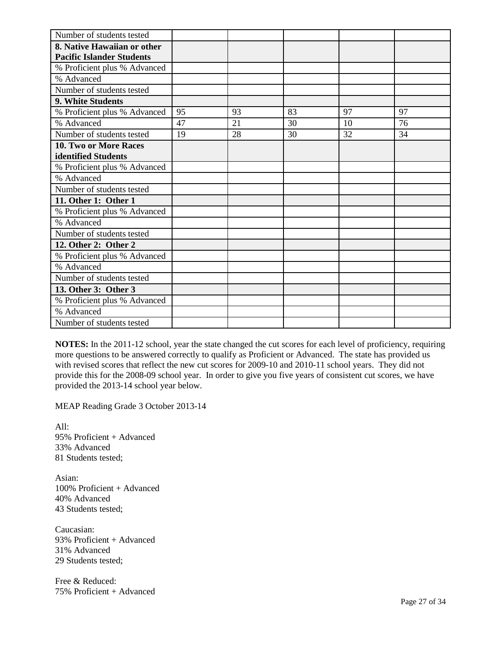| Number of students tested        |    |    |    |    |    |
|----------------------------------|----|----|----|----|----|
| 8. Native Hawaiian or other      |    |    |    |    |    |
| <b>Pacific Islander Students</b> |    |    |    |    |    |
| % Proficient plus % Advanced     |    |    |    |    |    |
| % Advanced                       |    |    |    |    |    |
| Number of students tested        |    |    |    |    |    |
| 9. White Students                |    |    |    |    |    |
| % Proficient plus % Advanced     | 95 | 93 | 83 | 97 | 97 |
| % Advanced                       | 47 | 21 | 30 | 10 | 76 |
| Number of students tested        | 19 | 28 | 30 | 32 | 34 |
| 10. Two or More Races            |    |    |    |    |    |
| identified Students              |    |    |    |    |    |
| % Proficient plus % Advanced     |    |    |    |    |    |
| % Advanced                       |    |    |    |    |    |
| Number of students tested        |    |    |    |    |    |
| 11. Other 1: Other 1             |    |    |    |    |    |
| % Proficient plus % Advanced     |    |    |    |    |    |
| % Advanced                       |    |    |    |    |    |
| Number of students tested        |    |    |    |    |    |
| 12. Other 2: Other 2             |    |    |    |    |    |
| % Proficient plus % Advanced     |    |    |    |    |    |
| % Advanced                       |    |    |    |    |    |
| Number of students tested        |    |    |    |    |    |
| 13. Other 3: Other 3             |    |    |    |    |    |
| % Proficient plus % Advanced     |    |    |    |    |    |
| % Advanced                       |    |    |    |    |    |
| Number of students tested        |    |    |    |    |    |

**NOTES:** In the 2011-12 school, year the state changed the cut scores for each level of proficiency, requiring more questions to be answered correctly to qualify as Proficient or Advanced. The state has provided us with revised scores that reflect the new cut scores for 2009-10 and 2010-11 school years. They did not provide this for the 2008-09 school year. In order to give you five years of consistent cut scores, we have provided the 2013-14 school year below.

MEAP Reading Grade 3 October 2013-14

All: 95% Proficient + Advanced 33% Advanced 81 Students tested;

Asian: 100% Proficient + Advanced 40% Advanced 43 Students tested;

Caucasian: 93% Proficient + Advanced 31% Advanced 29 Students tested;

Free & Reduced: 75% Proficient + Advanced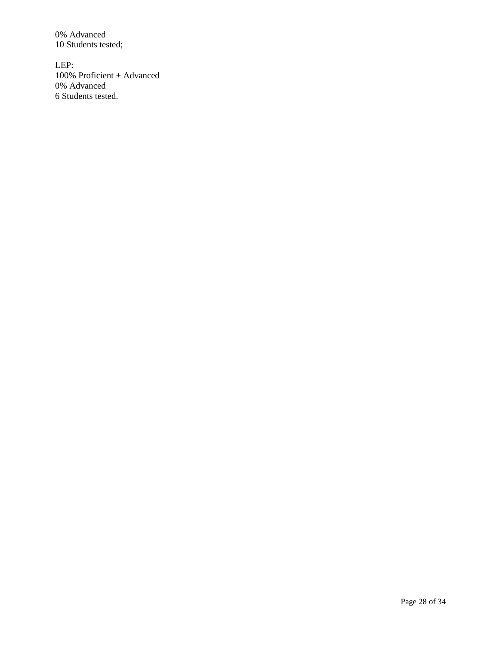0% Advanced 10 Students tested;

LEP: 100% Proficient + Advanced 0% Advanced 6 Students tested.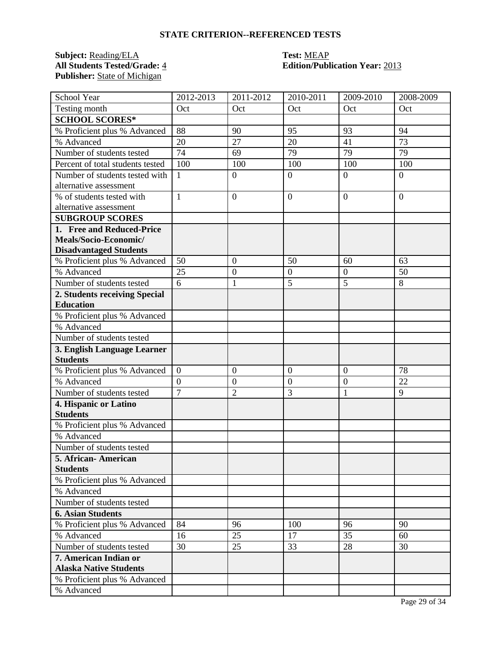## **STATE CRITERION--REFERENCED TESTS**

# **Subject:** <u>Reading/ELA</u> **Test:** <u>MEAP</u><br> **All Students Tested/Grade:** 4 **Edition/Publ** Publisher: **State of Michigan**

# **All Students Tested/Grade:** 4 **Edition/Publication Year:** 2013

| School Year                      | 2012-2013      | 2011-2012        | 2010-2011        | 2009-2010        | 2008-2009      |
|----------------------------------|----------------|------------------|------------------|------------------|----------------|
| Testing month                    | Oct            | Oct              | Oct              | Oct              | Oct            |
| <b>SCHOOL SCORES*</b>            |                |                  |                  |                  |                |
| % Proficient plus % Advanced     | 88             | 90               | 95               | 93               | 94             |
| % Advanced                       | 20             | 27               | 20               | 41               | 73             |
| Number of students tested        | 74             | 69               | 79               | 79               | 79             |
| Percent of total students tested | 100            | 100              | 100              | 100              | 100            |
| Number of students tested with   | $\mathbf{1}$   | $\boldsymbol{0}$ | $\mathbf{0}$     | $\overline{0}$   | $\overline{0}$ |
| alternative assessment           |                |                  |                  |                  |                |
| % of students tested with        | $\mathbf{1}$   | $\overline{0}$   | $\overline{0}$   | $\overline{0}$   | $\overline{0}$ |
| alternative assessment           |                |                  |                  |                  |                |
| <b>SUBGROUP SCORES</b>           |                |                  |                  |                  |                |
| 1. Free and Reduced-Price        |                |                  |                  |                  |                |
| Meals/Socio-Economic/            |                |                  |                  |                  |                |
| <b>Disadvantaged Students</b>    |                |                  |                  |                  |                |
| % Proficient plus % Advanced     | 50             | $\overline{0}$   | 50               | 60               | 63             |
| % Advanced                       | 25             | $\boldsymbol{0}$ | $\boldsymbol{0}$ | $\overline{0}$   | 50             |
| Number of students tested        | 6              | 1                | 5                | $\overline{5}$   | 8              |
| 2. Students receiving Special    |                |                  |                  |                  |                |
| <b>Education</b>                 |                |                  |                  |                  |                |
| % Proficient plus % Advanced     |                |                  |                  |                  |                |
| % Advanced                       |                |                  |                  |                  |                |
| Number of students tested        |                |                  |                  |                  |                |
| 3. English Language Learner      |                |                  |                  |                  |                |
| <b>Students</b>                  |                |                  |                  |                  |                |
| % Proficient plus % Advanced     | $\overline{0}$ | $\mathbf{0}$     | $\mathbf{0}$     | $\boldsymbol{0}$ | 78             |
| % Advanced                       | $\overline{0}$ | $\mathbf{0}$     | $\overline{0}$   | $\overline{0}$   | 22             |
| Number of students tested        | $\overline{7}$ | $\overline{2}$   | 3                | $\mathbf{1}$     | 9              |
| 4. Hispanic or Latino            |                |                  |                  |                  |                |
| <b>Students</b>                  |                |                  |                  |                  |                |
| % Proficient plus % Advanced     |                |                  |                  |                  |                |
| % Advanced                       |                |                  |                  |                  |                |
| Number of students tested        |                |                  |                  |                  |                |
| 5. African- American             |                |                  |                  |                  |                |
| <b>Students</b>                  |                |                  |                  |                  |                |
| % Proficient plus % Advanced     |                |                  |                  |                  |                |
| % Advanced                       |                |                  |                  |                  |                |
| Number of students tested        |                |                  |                  |                  |                |
| <b>6. Asian Students</b>         |                |                  |                  |                  |                |
| % Proficient plus % Advanced     | 84             | 96               | 100              | 96               | 90             |
| % Advanced                       | 16             | 25               | 17               | 35               | 60             |
| Number of students tested        | 30             | 25               | 33               | 28               | 30             |
| 7. American Indian or            |                |                  |                  |                  |                |
| <b>Alaska Native Students</b>    |                |                  |                  |                  |                |
| % Proficient plus % Advanced     |                |                  |                  |                  |                |
| % Advanced                       |                |                  |                  |                  |                |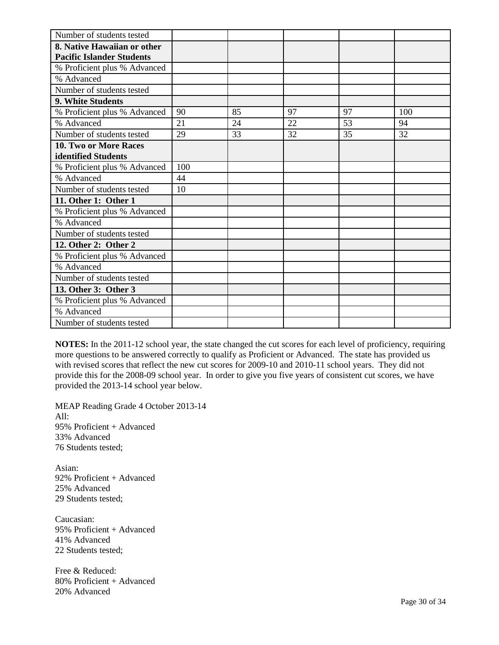| Number of students tested        |     |    |    |    |     |
|----------------------------------|-----|----|----|----|-----|
| 8. Native Hawaiian or other      |     |    |    |    |     |
| <b>Pacific Islander Students</b> |     |    |    |    |     |
| % Proficient plus % Advanced     |     |    |    |    |     |
| % Advanced                       |     |    |    |    |     |
| Number of students tested        |     |    |    |    |     |
| 9. White Students                |     |    |    |    |     |
| % Proficient plus % Advanced     | 90  | 85 | 97 | 97 | 100 |
| % Advanced                       | 21  | 24 | 22 | 53 | 94  |
| Number of students tested        | 29  | 33 | 32 | 35 | 32  |
| <b>10. Two or More Races</b>     |     |    |    |    |     |
| identified Students              |     |    |    |    |     |
| % Proficient plus % Advanced     | 100 |    |    |    |     |
| % Advanced                       | 44  |    |    |    |     |
| Number of students tested        | 10  |    |    |    |     |
| 11. Other 1: Other 1             |     |    |    |    |     |
| % Proficient plus % Advanced     |     |    |    |    |     |
| % Advanced                       |     |    |    |    |     |
| Number of students tested        |     |    |    |    |     |
| 12. Other 2: Other 2             |     |    |    |    |     |
| % Proficient plus % Advanced     |     |    |    |    |     |
| % Advanced                       |     |    |    |    |     |
| Number of students tested        |     |    |    |    |     |
| 13. Other 3: Other 3             |     |    |    |    |     |
| % Proficient plus % Advanced     |     |    |    |    |     |
| % Advanced                       |     |    |    |    |     |
| Number of students tested        |     |    |    |    |     |

**NOTES:** In the 2011-12 school year, the state changed the cut scores for each level of proficiency, requiring more questions to be answered correctly to qualify as Proficient or Advanced. The state has provided us with revised scores that reflect the new cut scores for 2009-10 and 2010-11 school years. They did not provide this for the 2008-09 school year. In order to give you five years of consistent cut scores, we have provided the 2013-14 school year below.

MEAP Reading Grade 4 October 2013-14 All: 95% Proficient + Advanced 33% Advanced 76 Students tested;

Asian: 92% Proficient + Advanced 25% Advanced 29 Students tested;

Caucasian: 95% Proficient + Advanced 41% Advanced 22 Students tested;

Free & Reduced: 80% Proficient + Advanced 20% Advanced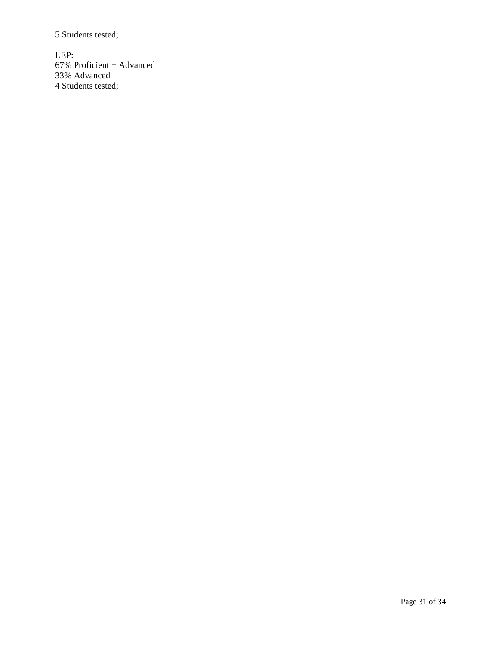5 Students tested;

LEP: 67% Proficient + Advanced 33% Advanced 4 Students tested;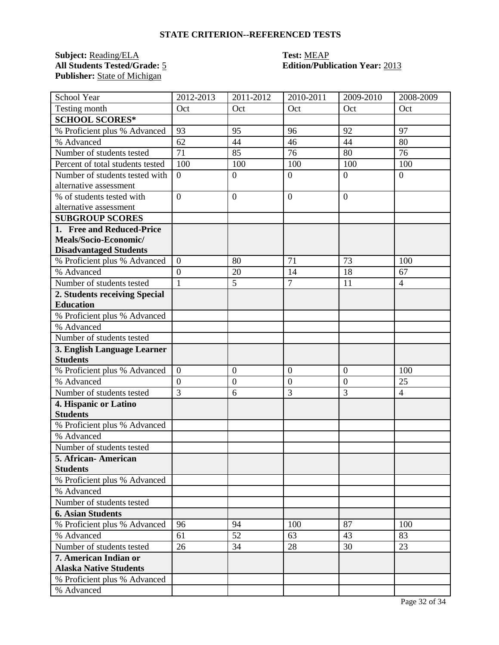## **STATE CRITERION--REFERENCED TESTS**

**Subject:** <u>Reading/ELA</u> **Test:** <u>MEAP</u><br> **All Students Tested/Grade:** 5 **Edition/Publ** Publisher: **State of Michigan** 

# **All Students Tested/Grade:** 5 **Edition/Publication Year:** 2013

| School Year                      | 2012-2013        | $2011 - 2012$    | 2010-2011        | 2009-2010        | 2008-2009      |
|----------------------------------|------------------|------------------|------------------|------------------|----------------|
| Testing month                    | Oct              | Oct              | Oct              | Oct              | Oct            |
| <b>SCHOOL SCORES*</b>            |                  |                  |                  |                  |                |
| % Proficient plus % Advanced     | 93               | 95               | 96               | 92               | 97             |
| % Advanced                       | 62               | 44               | 46               | 44               | 80             |
| Number of students tested        | 71               | 85               | 76               | 80               | 76             |
| Percent of total students tested | 100              | 100              | 100              | 100              | 100            |
| Number of students tested with   | $\overline{0}$   | $\overline{0}$   | $\overline{0}$   | $\overline{0}$   | $\theta$       |
| alternative assessment           |                  |                  |                  |                  |                |
| % of students tested with        | $\overline{0}$   | $\overline{0}$   | $\overline{0}$   | $\overline{0}$   |                |
| alternative assessment           |                  |                  |                  |                  |                |
| <b>SUBGROUP SCORES</b>           |                  |                  |                  |                  |                |
| 1. Free and Reduced-Price        |                  |                  |                  |                  |                |
| Meals/Socio-Economic/            |                  |                  |                  |                  |                |
| <b>Disadvantaged Students</b>    |                  |                  |                  |                  |                |
| % Proficient plus % Advanced     | $\boldsymbol{0}$ | 80               | 71               | 73               | 100            |
| % Advanced                       | $\overline{0}$   | 20               | 14               | 18               | 67             |
| Number of students tested        | $\mathbf{1}$     | 5                | $\overline{7}$   | 11               | $\overline{4}$ |
| 2. Students receiving Special    |                  |                  |                  |                  |                |
| <b>Education</b>                 |                  |                  |                  |                  |                |
| % Proficient plus % Advanced     |                  |                  |                  |                  |                |
| % Advanced                       |                  |                  |                  |                  |                |
| Number of students tested        |                  |                  |                  |                  |                |
| 3. English Language Learner      |                  |                  |                  |                  |                |
| <b>Students</b>                  |                  |                  |                  |                  |                |
| % Proficient plus % Advanced     | $\boldsymbol{0}$ | $\boldsymbol{0}$ | $\boldsymbol{0}$ | $\boldsymbol{0}$ | 100            |
| % Advanced                       | $\overline{0}$   | $\mathbf{0}$     | $\boldsymbol{0}$ | $\overline{0}$   | 25             |
| Number of students tested        | $\overline{3}$   | 6                | 3                | 3                | $\overline{4}$ |
| 4. Hispanic or Latino            |                  |                  |                  |                  |                |
| <b>Students</b>                  |                  |                  |                  |                  |                |
| % Proficient plus % Advanced     |                  |                  |                  |                  |                |
| % Advanced                       |                  |                  |                  |                  |                |
| Number of students tested        |                  |                  |                  |                  |                |
| 5. African- American             |                  |                  |                  |                  |                |
| <b>Students</b>                  |                  |                  |                  |                  |                |
| % Proficient plus % Advanced     |                  |                  |                  |                  |                |
| % Advanced                       |                  |                  |                  |                  |                |
| Number of students tested        |                  |                  |                  |                  |                |
| <b>6. Asian Students</b>         |                  |                  |                  |                  |                |
| % Proficient plus % Advanced     | 96               | 94               | 100              | 87               | 100            |
| % Advanced                       | 61               | 52               | 63               | 43               | 83             |
| Number of students tested        | 26               | 34               | 28               | 30               | 23             |
| 7. American Indian or            |                  |                  |                  |                  |                |
| <b>Alaska Native Students</b>    |                  |                  |                  |                  |                |
| % Proficient plus % Advanced     |                  |                  |                  |                  |                |
| % Advanced                       |                  |                  |                  |                  |                |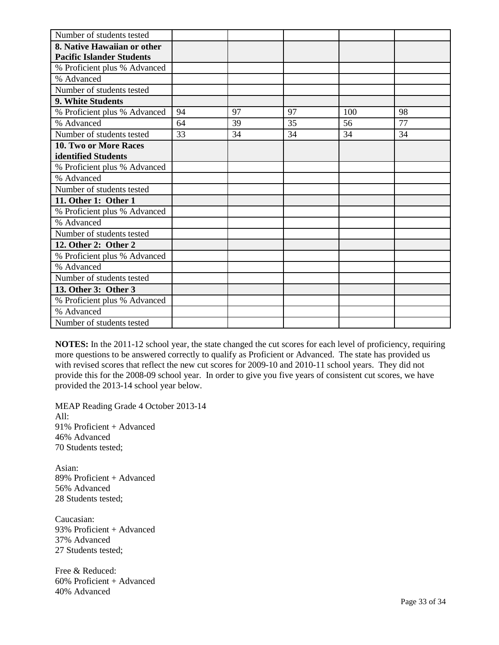| Number of students tested        |    |    |    |     |    |
|----------------------------------|----|----|----|-----|----|
| 8. Native Hawaiian or other      |    |    |    |     |    |
| <b>Pacific Islander Students</b> |    |    |    |     |    |
| % Proficient plus % Advanced     |    |    |    |     |    |
| % Advanced                       |    |    |    |     |    |
| Number of students tested        |    |    |    |     |    |
| 9. White Students                |    |    |    |     |    |
| % Proficient plus % Advanced     | 94 | 97 | 97 | 100 | 98 |
| % Advanced                       | 64 | 39 | 35 | 56  | 77 |
| Number of students tested        | 33 | 34 | 34 | 34  | 34 |
| 10. Two or More Races            |    |    |    |     |    |
| identified Students              |    |    |    |     |    |
| % Proficient plus % Advanced     |    |    |    |     |    |
| % Advanced                       |    |    |    |     |    |
| Number of students tested        |    |    |    |     |    |
| 11. Other 1: Other 1             |    |    |    |     |    |
| % Proficient plus % Advanced     |    |    |    |     |    |
| % Advanced                       |    |    |    |     |    |
| Number of students tested        |    |    |    |     |    |
| 12. Other 2: Other 2             |    |    |    |     |    |
| % Proficient plus % Advanced     |    |    |    |     |    |
| % Advanced                       |    |    |    |     |    |
| Number of students tested        |    |    |    |     |    |
| 13. Other 3: Other 3             |    |    |    |     |    |
| % Proficient plus % Advanced     |    |    |    |     |    |
| % Advanced                       |    |    |    |     |    |
| Number of students tested        |    |    |    |     |    |

**NOTES:** In the 2011-12 school year, the state changed the cut scores for each level of proficiency, requiring more questions to be answered correctly to qualify as Proficient or Advanced. The state has provided us with revised scores that reflect the new cut scores for 2009-10 and 2010-11 school years. They did not provide this for the 2008-09 school year. In order to give you five years of consistent cut scores, we have provided the 2013-14 school year below.

MEAP Reading Grade 4 October 2013-14 All: 91% Proficient + Advanced 46% Advanced 70 Students tested;

Asian: 89% Proficient + Advanced 56% Advanced 28 Students tested;

Caucasian: 93% Proficient + Advanced 37% Advanced 27 Students tested;

Free & Reduced: 60% Proficient + Advanced 40% Advanced